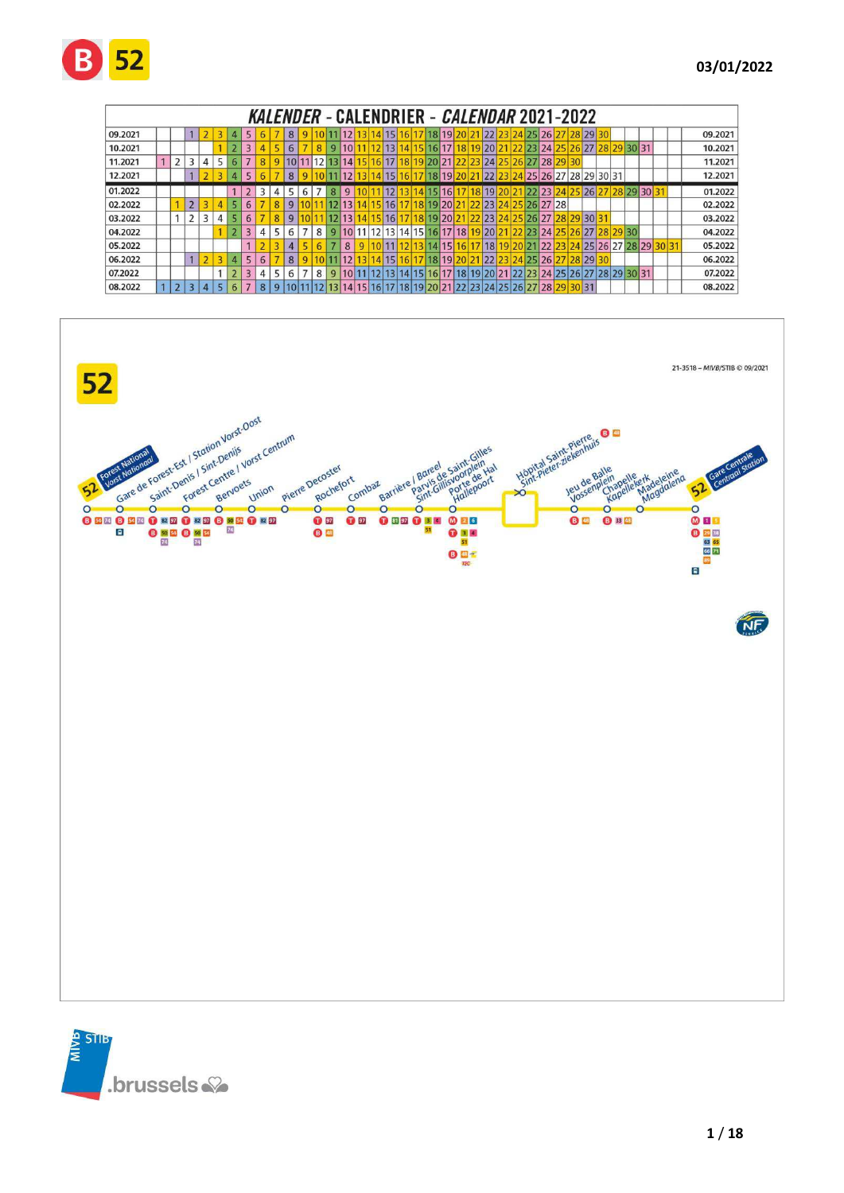|         |                |                |   |   |                |                         |   |   |                |   |   |                |                   |  |       |                 |  | KALENDER - CALENDRIER - <i>CALENDAR</i> 2021-2022  |  |      |                            |       |       |       |                      |          |             |  |         |
|---------|----------------|----------------|---|---|----------------|-------------------------|---|---|----------------|---|---|----------------|-------------------|--|-------|-----------------|--|----------------------------------------------------|--|------|----------------------------|-------|-------|-------|----------------------|----------|-------------|--|---------|
| 09.2021 |                |                |   |   |                | 5                       |   |   | 8              |   |   |                |                   |  | 14 15 | 16              |  | 17 18 19 20 21                                     |  |      | 22 23 24 25 26 27 28 29 30 |       |       |       |                      |          |             |  | 09.2021 |
| 10.2021 |                |                |   |   |                |                         |   |   | 6              |   |   | 9              | 10 <sup>1</sup>   |  | 12 13 | 14              |  | 15 16 17 18 19 20 21                               |  |      | 22 23 24 25 26 27          |       |       |       |                      |          | 28 29 30 31 |  | 10.2021 |
| 11.2021 | $\overline{2}$ |                | 4 |   |                |                         |   |   |                |   |   |                | 10 11 12 13 14 15 |  | 16 17 |                 |  | 18 19 20 21 22 23 24 25 26 27 28                   |  |      |                            |       |       |       |                      |          |             |  | 11.2021 |
| 12.2021 |                |                |   |   |                | 5                       |   |   | 8              |   |   |                |                   |  | 15    | 16 <sub>h</sub> |  | 18 19 20 21                                        |  | 221  | 23 24 25 26 27 28 29 30 31 |       |       |       |                      |          |             |  | 12.2021 |
| 01.2022 |                |                |   |   |                |                         | 3 | 4 |                | 6 |   | 8              | 9                 |  |       |                 |  | 161                                                |  | 8 19 |                            | 22 23 | 24 25 |       | 26 27 28 29 30 3     |          |             |  | 01.2022 |
| 02.2022 |                | $\overline{2}$ |   |   |                | 6                       |   | 8 | $\overline{9}$ |   |   |                | 12 13             |  | 15 16 |                 |  | 18 19 20 21                                        |  |      | 22 23 24 25 26 27 28       |       |       |       |                      |          |             |  | 02.2022 |
| 03.2022 |                | $\overline{2}$ | 3 | 4 |                | 6                       |   | 8 | 9              |   |   |                | 12 13             |  | 16    |                 |  | 18 19 20 21                                        |  |      | 22 23 24 25 26 27 28 29 30 |       |       |       |                      |          |             |  | 03.2022 |
| 04.2022 |                |                |   |   | $\overline{2}$ | $\overline{3}$          | 4 | 5 | 6              |   | 8 | $\overline{9}$ |                   |  |       |                 |  | 11 12 13 14 15 16 17 18                            |  |      | 9 20 21 22 23 24 25 26 27  |       |       |       |                      | 28 29 30 |             |  | 04.2022 |
| 05.2022 |                |                |   |   |                |                         |   |   | 4              |   |   |                | 8                 |  |       |                 |  | 13 14 15                                           |  |      | 18 19 20 21 22             |       |       |       | 25 26 27 28 29 30 31 |          |             |  | 05.2022 |
| 06.2022 |                |                |   |   | 4              | 5                       | 6 |   | 8              |   |   |                |                   |  | 14 15 | 16              |  | 17 18 19 20 21                                     |  | 22   | 23 24 25 26 27             |       |       | 28 29 |                      |          |             |  | 06.2022 |
| 07.2022 |                |                |   |   | $\overline{2}$ | $\overline{\mathbf{3}}$ | 4 | 5 | 6              |   | 8 | 9              |                   |  |       | 14              |  | 15 16 17 18 19 20 21 22 23 24 25 26 27 28 29 30 31 |  |      |                            |       |       |       |                      |          |             |  | 07.2022 |
| 08.2022 | 2              |                |   |   |                |                         | 8 |   |                |   |   |                |                   |  |       |                 |  | 18 19 20 21 22 23 24 25 26 27 28 29 30 31          |  |      |                            |       |       |       |                      |          |             |  | 08.2022 |



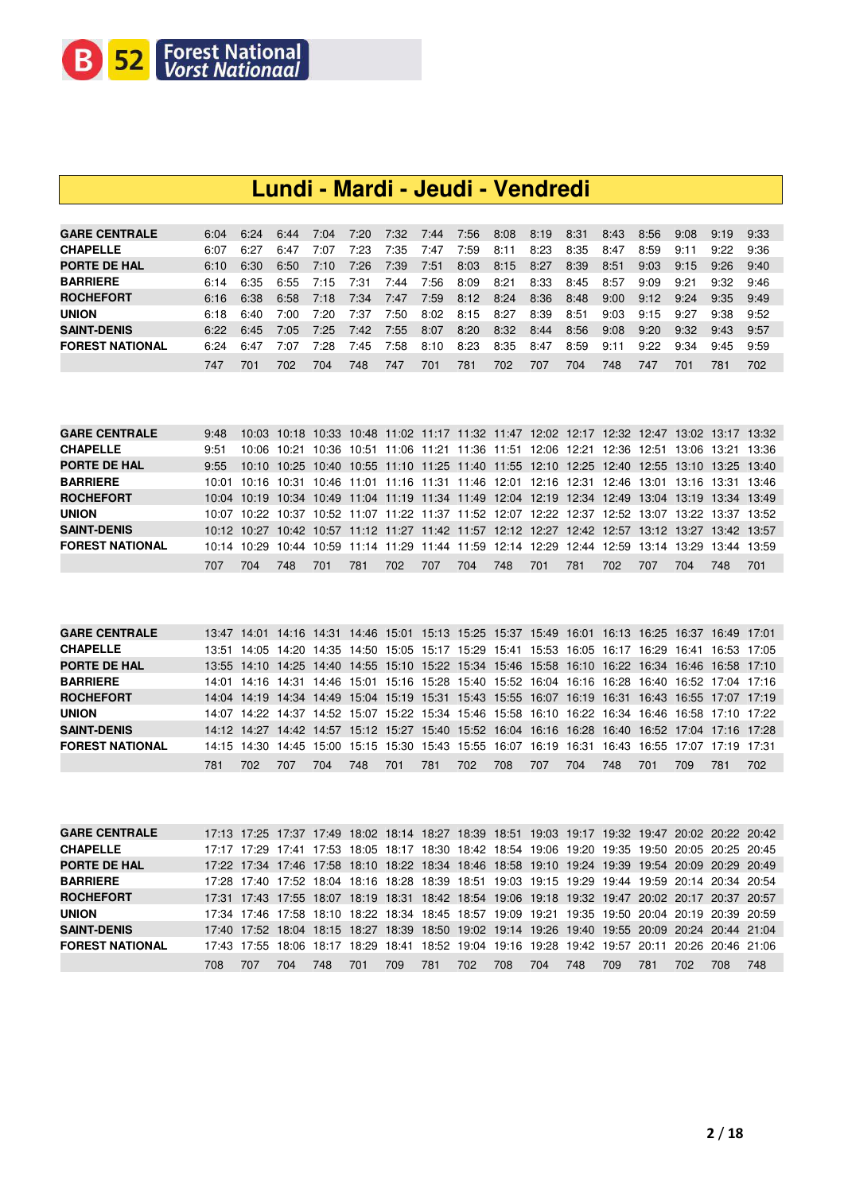

### **Lundi - Mardi - Jeudi - Vendredi**

| 7:20<br>7:32<br>7:56<br>7:44<br>8:08<br>6:24<br>7:04<br>8:19<br>8:31<br>8:56<br>6:04<br>8:43<br>9:08<br>6:44<br>9:19<br>- 9:33<br>7:23<br>7:35<br>8:23<br>8:35<br>8:11<br>8:59<br>6:27<br>7:59<br>9:11<br>6:07<br>8:47<br>9:22<br>9:36<br>6:47<br>7:07<br>7:47<br>6:30<br>7:26<br>7:39<br>8:03<br>8:27<br>8:39<br>9:03<br>8:15<br>8:51<br>6:50<br>7:10<br>7:51<br>9:15<br>9:26<br>6:10<br>9:40<br>8:33<br>6:35<br>7:56<br>8:09<br>8:21<br>6:55<br>7:31<br>9:09<br>9:21<br>7:15<br>8:45<br>8:57<br>9:32<br>7:44<br>6:14<br>9:46<br>8:12<br>8:24<br>8:36<br>7:34<br>7:59<br>9:00<br>6:38<br>6:58<br>8:48<br>9:24<br>7:18<br>9:12<br>7:47<br>6:16<br>9:35<br>9:49<br>7:20<br>8:02<br>8:39<br>8:27<br>9:03<br>7:37<br>7:50<br>8:15<br>8:51<br>9:27<br>9:38<br>9:52<br>6:18<br>6:40<br>7:00.<br>9:15<br>8:32<br>7:25<br>8:20<br>8:56<br>7:42<br>7:55<br>8:07<br>8:44<br>9:08<br>9:20<br>9:32<br>7:05<br>6:22<br>6:45<br>9:57<br>9:43<br>7:28<br>8:23<br>8:35<br>7:58<br>8:59<br>9:22<br>6.24<br>8:10<br>9:34<br>6:47<br>7:07<br>7:45<br>-8:47<br>9:11<br>9:59<br>9:45<br>702<br>781<br>702<br>747<br>701<br>707<br>704<br>701<br>748<br>748<br>747<br>781<br>747<br>701<br>702<br>704 |                        |  |  |  |  |  |  |  |  |
|----------------------------------------------------------------------------------------------------------------------------------------------------------------------------------------------------------------------------------------------------------------------------------------------------------------------------------------------------------------------------------------------------------------------------------------------------------------------------------------------------------------------------------------------------------------------------------------------------------------------------------------------------------------------------------------------------------------------------------------------------------------------------------------------------------------------------------------------------------------------------------------------------------------------------------------------------------------------------------------------------------------------------------------------------------------------------------------------------------------------------------------------------------------------------------|------------------------|--|--|--|--|--|--|--|--|
|                                                                                                                                                                                                                                                                                                                                                                                                                                                                                                                                                                                                                                                                                                                                                                                                                                                                                                                                                                                                                                                                                                                                                                                  | <b>GARE CENTRALE</b>   |  |  |  |  |  |  |  |  |
|                                                                                                                                                                                                                                                                                                                                                                                                                                                                                                                                                                                                                                                                                                                                                                                                                                                                                                                                                                                                                                                                                                                                                                                  | <b>CHAPELLE</b>        |  |  |  |  |  |  |  |  |
|                                                                                                                                                                                                                                                                                                                                                                                                                                                                                                                                                                                                                                                                                                                                                                                                                                                                                                                                                                                                                                                                                                                                                                                  | <b>PORTE DE HAL</b>    |  |  |  |  |  |  |  |  |
|                                                                                                                                                                                                                                                                                                                                                                                                                                                                                                                                                                                                                                                                                                                                                                                                                                                                                                                                                                                                                                                                                                                                                                                  | <b>BARRIERE</b>        |  |  |  |  |  |  |  |  |
|                                                                                                                                                                                                                                                                                                                                                                                                                                                                                                                                                                                                                                                                                                                                                                                                                                                                                                                                                                                                                                                                                                                                                                                  | <b>ROCHEFORT</b>       |  |  |  |  |  |  |  |  |
|                                                                                                                                                                                                                                                                                                                                                                                                                                                                                                                                                                                                                                                                                                                                                                                                                                                                                                                                                                                                                                                                                                                                                                                  | <b>UNION</b>           |  |  |  |  |  |  |  |  |
|                                                                                                                                                                                                                                                                                                                                                                                                                                                                                                                                                                                                                                                                                                                                                                                                                                                                                                                                                                                                                                                                                                                                                                                  | <b>SAINT-DENIS</b>     |  |  |  |  |  |  |  |  |
|                                                                                                                                                                                                                                                                                                                                                                                                                                                                                                                                                                                                                                                                                                                                                                                                                                                                                                                                                                                                                                                                                                                                                                                  | <b>FOREST NATIONAL</b> |  |  |  |  |  |  |  |  |
|                                                                                                                                                                                                                                                                                                                                                                                                                                                                                                                                                                                                                                                                                                                                                                                                                                                                                                                                                                                                                                                                                                                                                                                  |                        |  |  |  |  |  |  |  |  |

| <b>GARE CENTRALE</b>   | 9:48  |     |     |     |     |     |     |     |     |     |     |      |     |     | 10:03 10:18 10:33 10:48 11:02 11:17 11:32 11:47 12:02 12:17 12:32 12:47 13:02 13:17 13:32       |     |
|------------------------|-------|-----|-----|-----|-----|-----|-----|-----|-----|-----|-----|------|-----|-----|-------------------------------------------------------------------------------------------------|-----|
| <b>CHAPELLE</b>        | 9:51  |     |     |     |     |     |     |     |     |     |     |      |     |     | 10:06 10:21 10:36 10:51 11:06 11:21 11:36 11:51 12:06 12:21 12:36 12:51 13:06 13:21 13:36       |     |
| <b>PORTE DE HAL</b>    | 9:55  |     |     |     |     |     |     |     |     |     |     |      |     |     | 10:10 10:25 10:40 10:55 11:10 11:25 11:40 11:55 12:10 12:25 12:40 12:55 13:10 13:25 13:40       |     |
| <b>BARRIERE</b>        | 10:01 |     |     |     |     |     |     |     |     |     |     |      |     |     | 10:16 10:31 10:46 11:01 11:16 11:31 11:46 12:01 12:16 12:31 12:46 13:01 13:16 13:31 13:46       |     |
| <b>ROCHEFORT</b>       |       |     |     |     |     |     |     |     |     |     |     |      |     |     | 10:04 10:19 10:34 10:49 11:04 11:19 11:34 11:49 12:04 12:19 12:34 12:49 13:04 13:19 13:34 13:49 |     |
| <b>UNION</b>           |       |     |     |     |     |     |     |     |     |     |     |      |     |     | 10:07 10:22 10:37 10:52 11:07 11:22 11:37 11:52 12:07 12:22 12:37 12:52 13:07 13:22 13:37 13:52 |     |
| <b>SAINT-DENIS</b>     |       |     |     |     |     |     |     |     |     |     |     |      |     |     | 10:12 10:27 10:42 10:57 11:12 11:27 11:42 11:57 12:12 12:27 12:42 12:57 13:12 13:27 13:42 13:57 |     |
| <b>FOREST NATIONAL</b> |       |     |     |     |     |     |     |     |     |     |     |      |     |     | 10:14 10:29 10:44 10:59 11:14 11:29 11:44 11:59 12:14 12:29 12:44 12:59 13:14 13:29 13:44 13:59 |     |
|                        | 707   | 704 | 748 | 701 | 781 | 702 | 707 | 704 | 748 | 701 | 781 | 702. | 707 | 704 | 748.                                                                                            | 701 |

| <b>GARE CENTRALE</b>   |     |     |     |     |     | 13:47 14:01 14:16 14:31 14:46 15:01 15:13 15:25 15:37 15:49 16:01 16:13 16:25 16:37 16:49 17:01 |     |     |     |     |     |     |     |      |     |     |
|------------------------|-----|-----|-----|-----|-----|-------------------------------------------------------------------------------------------------|-----|-----|-----|-----|-----|-----|-----|------|-----|-----|
| <b>CHAPELLE</b>        |     |     |     |     |     | 13:51 14:05 14:20 14:35 14:50 15:05 15:17 15:29 15:41 15:53 16:05 16:17 16:29 16:41 16:53 17:05 |     |     |     |     |     |     |     |      |     |     |
| PORTE DE HAL           |     |     |     |     |     | 13:55 14:10 14:25 14:40 14:55 15:10 15:22 15:34 15:46 15:58 16:10 16:22 16:34 16:46 16:58 17:10 |     |     |     |     |     |     |     |      |     |     |
| <b>BARRIERE</b>        |     |     |     |     |     | 14:01 14:16 14:31 14:46 15:01 15:16 15:28 15:40 15:52 16:04 16:16 16:28 16:40 16:52 17:04 17:16 |     |     |     |     |     |     |     |      |     |     |
| <b>ROCHEFORT</b>       |     |     |     |     |     | 14:04 14:19 14:34 14:49 15:04 15:19 15:31 15:43 15:55 16:07 16:19 16:31 16:43 16:55 17:07 17:19 |     |     |     |     |     |     |     |      |     |     |
| <b>UNION</b>           |     |     |     |     |     | 14:07 14:22 14:37 14:52 15:07 15:22 15:34 15:46 15:58 16:10 16:22 16:34 16:46 16:58 17:10 17:22 |     |     |     |     |     |     |     |      |     |     |
| <b>SAINT-DENIS</b>     |     |     |     |     |     | 14:12 14:27 14:42 14:57 15:12 15:27 15:40 15:52 16:04 16:16 16:28 16:40 16:52 17:04 17:16 17:28 |     |     |     |     |     |     |     |      |     |     |
| <b>FOREST NATIONAL</b> |     |     |     |     |     | 14:15 14:30 14:45 15:00 15:15 15:30 15:43 15:55 16:07 16:19 16:31 16:43 16:55 17:07 17:19 17:31 |     |     |     |     |     |     |     |      |     |     |
|                        | 781 | 702 | 707 | 704 | 748 | 701                                                                                             | 781 | 702 | 708 | 707 | 704 | 748 | 701 | 709. | 781 | 702 |

| <b>GARE CENTRALE</b>   |     |     |     |      |     |     |     |     |     |     |     |     |     |      | 17:13 17:25 17:37 17:49 18:02 18:14 18:27 18:39 18:51 19:03 19:17 19:32 19:47 20:02 20:22 20:42 |     |
|------------------------|-----|-----|-----|------|-----|-----|-----|-----|-----|-----|-----|-----|-----|------|-------------------------------------------------------------------------------------------------|-----|
| <b>CHAPELLE</b>        |     |     |     |      |     |     |     |     |     |     |     |     |     |      | 17:17 17:29 17:41 17:53 18:05 18:17 18:30 18:42 18:54 19:06 19:20 19:35 19:50 20:05 20:25 20:45 |     |
| <b>PORTE DE HAL</b>    |     |     |     |      |     |     |     |     |     |     |     |     |     |      | 17:22 17:34 17:46 17:58 18:10 18:22 18:34 18:46 18:58 19:10 19:24 19:39 19:54 20:09 20:29 20:49 |     |
| <b>BARRIERE</b>        |     |     |     |      |     |     |     |     |     |     |     |     |     |      | 17:28 17:40 17:52 18:04 18:16 18:28 18:39 18:51 19:03 19:15 19:29 19:44 19:59 20:14 20:34 20:54 |     |
| <b>ROCHEFORT</b>       |     |     |     |      |     |     |     |     |     |     |     |     |     |      | 17:31 17:43 17:55 18:07 18:19 18:31 18:42 18:54 19:06 19:18 19:32 19:47 20:02 20:17 20:37 20:57 |     |
| <b>UNION</b>           |     |     |     |      |     |     |     |     |     |     |     |     |     |      | 17:34 17:46 17:58 18:10 18:22 18:34 18:45 18:57 19:09 19:21 19:35 19:50 20:04 20:19 20:39 20:59 |     |
| <b>SAINT-DENIS</b>     |     |     |     |      |     |     |     |     |     |     |     |     |     |      | 17:40 17:52 18:04 18:15 18:27 18:39 18:50 19:02 19:14 19:26 19:40 19:55 20:09 20:24 20:44 21:04 |     |
| <b>FOREST NATIONAL</b> |     |     |     |      |     |     |     |     |     |     |     |     |     |      | 17:43 17:55 18:06 18:17 18:29 18:41 18:52 19:04 19:16 19:28 19:42 19:57 20:11 20:26 20:46 21:06 |     |
|                        | 708 | 707 | 704 | 748. | 701 | 709 | 781 | 702 | 708 | 704 | 748 | 709 | 781 | 702. | 708                                                                                             | 748 |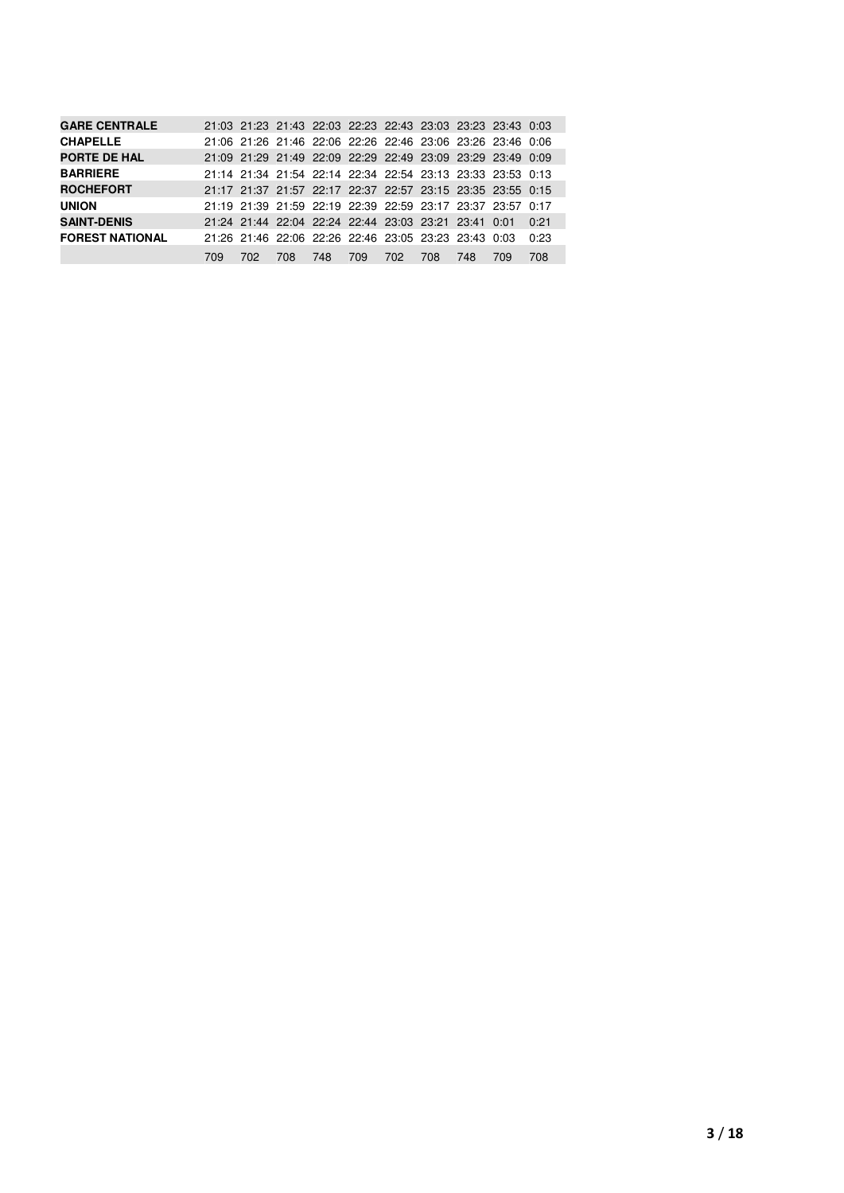|     |     |      |     |     |     |     |     |     | 0:21                                                                                                                                                                                                                                                                                                                                                                                                                                                                                             |
|-----|-----|------|-----|-----|-----|-----|-----|-----|--------------------------------------------------------------------------------------------------------------------------------------------------------------------------------------------------------------------------------------------------------------------------------------------------------------------------------------------------------------------------------------------------------------------------------------------------------------------------------------------------|
|     |     |      |     |     |     |     |     |     | 0:23                                                                                                                                                                                                                                                                                                                                                                                                                                                                                             |
| 709 | 702 | 708. | 748 | 709 | 702 | 708 | 748 | 709 | 708                                                                                                                                                                                                                                                                                                                                                                                                                                                                                              |
|     |     |      |     |     |     |     |     |     | 21:03 21:23 21:43 22:03 22:23 22:43 23:03 23:23 23:43 0:03<br>21:06 21:26 21:46 22:06 22:26 22:46 23:06 23:26 23:46 0:06<br>21:09 21:29 21:49 22:09 22:29 22:49 23:09 23:29 23:49 0:09<br>21:14 21:34 21:54 22:14 22:34 22:54 23:13 23:33 23:53 0:13<br>21:17 21:37 21:57 22:17 22:37 22:57 23:15 23:35 23:55 0:15<br>21:19 21:39 21:59 22:19 22:39 22:59 23:17 23:37 23:57 0:17<br>21:24 21:44 22:04 22:24 22:44 23:03 23:21 23:41 0:01<br>21:26 21:46 22:06 22:26 22:46 23:05 23:23 23:43 0:03 |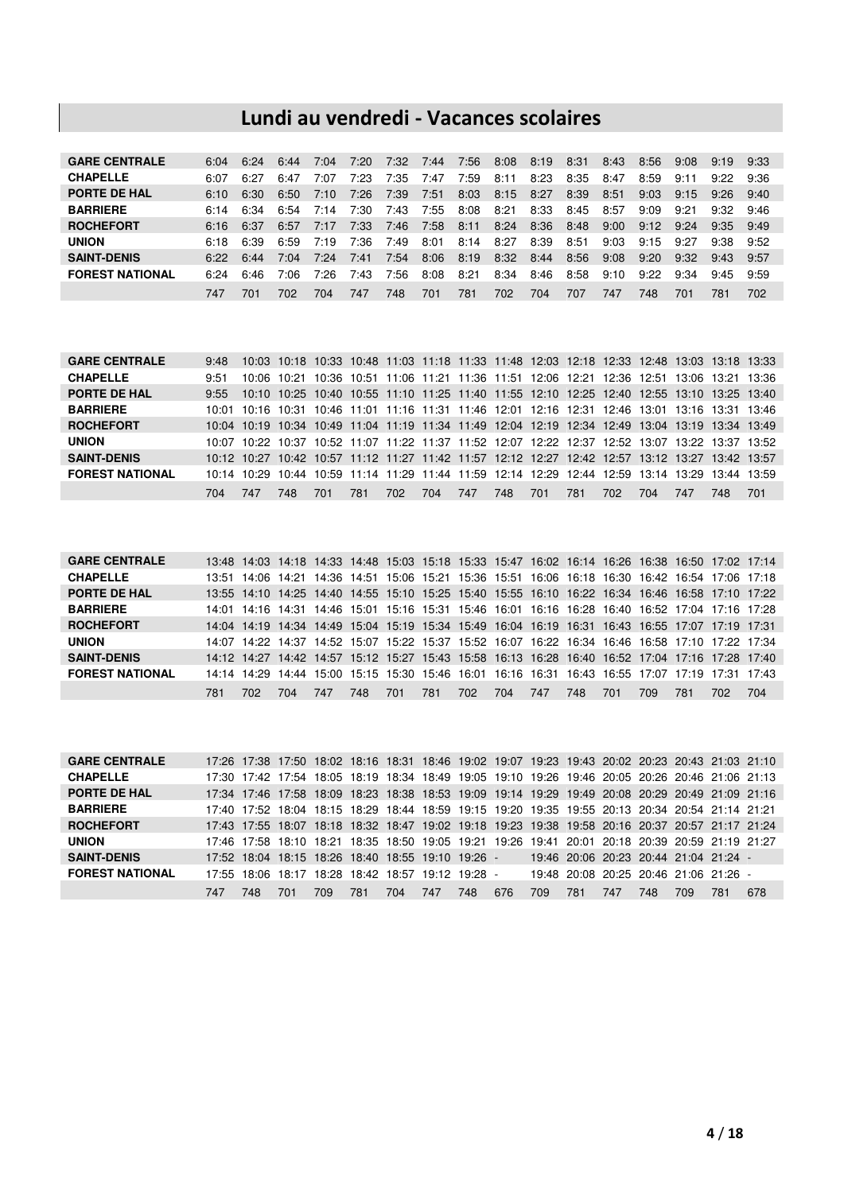## **Lundi au vendredi - Vacances scolaires**

| <b>GARE CENTRALE</b>   | 6:04 | 6:24 | 6:44 | 7:04 | 7:20 | 7:32 | 7:44 | 7:56 | 8:08 | 8:19 | 8:31 | 8:43 | 8:56 | 9:08 | 9:19 | 9:33 |
|------------------------|------|------|------|------|------|------|------|------|------|------|------|------|------|------|------|------|
| <b>CHAPELLE</b>        | ና በ7 | 6:27 | 6:47 | 7:07 | 7:23 | 7:35 | 7:47 | 7:59 | 8:11 | 8:23 | 8:35 | 8:47 | 8:59 | 9:11 | 9:22 | 9:36 |
| <b>PORTE DE HAL</b>    | 6:10 | 6:30 | 6:50 | 7:10 | 7:26 | 7:39 | 7:51 | 8:03 | 8:15 | 8:27 | 8:39 | 8:51 | 9:03 | 9:15 | 9:26 | 9:40 |
| <b>BARRIERE</b>        | 6:14 | 6:34 | 6:54 | 7:14 | 7:30 | 7:43 | 7:55 | 8:08 | 8:21 | 8:33 | 8:45 | 8:57 | 9:09 | 9:21 | 9:32 | 9:46 |
| <b>ROCHEFORT</b>       | 6:16 | 6:37 | 6:57 | 7:17 | 7:33 | 7:46 | 7:58 | 8:11 | 8:24 | 8:36 | 8:48 | 9:00 | 9:12 | 9:24 | 9:35 | 9:49 |
| <b>UNION</b>           | 6:18 | 6:39 | 6:59 | 7:19 | 7:36 | 7:49 | 8:01 | 8:14 | 8:27 | 8:39 | 8:51 | 9:03 | 9:15 | 9:27 | 9:38 | 9:52 |
| <b>SAINT-DENIS</b>     | 6.22 | 6:44 | 7:04 | 7:24 | 7:41 | 7:54 | 8:06 | 8:19 | 8:32 | 8:44 | 8:56 | 9:08 | 9:20 | 9:32 | 9:43 | 9:57 |
| <b>FOREST NATIONAL</b> | 6:24 | 6:46 | 7:06 | 7:26 | 7:43 | 7:56 | 8:08 | 8:21 | 8:34 | 8:46 | 8:58 | 9:10 | 9:22 | 9:34 | 9:45 | 9:59 |
|                        | 747  | 701  | 702. | 704  | 747  | 748  | 701  | 781  | 702  | 704  | 707  | 747  | 748  | 701  | 781  | 702  |

| <b>GARE CENTRALE</b>   | 9:48 |                                                                                                 |      |     |     |  |                 |     |     |     |     |     |     | 10:03 10:18 10:33 10:48 11:03 11:18 11:33 11:48 12:03 12:18 12:33 12:48 13:03 13:18 13:33       |
|------------------------|------|-------------------------------------------------------------------------------------------------|------|-----|-----|--|-----------------|-----|-----|-----|-----|-----|-----|-------------------------------------------------------------------------------------------------|
| <b>CHAPELLE</b>        | 9:51 |                                                                                                 |      |     |     |  |                 |     |     |     |     |     |     | 10:06 10:21 10:36 10:51 11:06 11:21 11:36 11:51 12:06 12:21 12:36 12:51 13:06 13:21 13:36       |
| PORTE DE HAL           | 9:55 |                                                                                                 |      |     |     |  |                 |     |     |     |     |     |     | 10:10 10:25 10:40 10:55 11:10 11:25 11:40 11:55 12:10 12:25 12:40 12:55 13:10 13:25 13:40       |
| <b>BARRIERE</b>        |      |                                                                                                 |      |     |     |  |                 |     |     |     |     |     |     | 10:01 10:16 10:31 10:46 11:01 11:16 11:31 11:46 12:01 12:16 12:31 12:46 13:01 13:16 13:31 13:46 |
| <b>ROCHEFORT</b>       |      |                                                                                                 |      |     |     |  |                 |     |     |     |     |     |     | 10:04 10:19 10:34 10:49 11:04 11:19 11:34 11:49 12:04 12:19 12:34 12:49 13:04 13:19 13:34 13:49 |
| <b>UNION</b>           |      |                                                                                                 |      |     |     |  |                 |     |     |     |     |     |     | 10:07 10:22 10:37 10:52 11:07 11:22 11:37 11:52 12:07 12:22 12:37 12:52 13:07 13:22 13:37 13:52 |
| <b>SAINT-DENIS</b>     |      | 10:12 10:27 10:42 10:57 11:12 11:27 11:42 11:57 12:12 12:27 12:42 12:57 13:12 13:27 13:42 13:57 |      |     |     |  |                 |     |     |     |     |     |     |                                                                                                 |
| <b>FOREST NATIONAL</b> |      |                                                                                                 |      |     |     |  |                 |     |     |     |     |     |     | 10:14 10:29 10:44 10:59 11:14 11:29 11:44 11:59 12:14 12:29 12:44 12:59 13:14 13:29 13:44 13:59 |
|                        | 704  | 747                                                                                             | 748. | 701 | 781 |  | 702 704 747 748 | 701 | 781 | 702 | 704 | 747 | 748 | 701                                                                                             |

| <b>GARE CENTRALE</b>   |       |      |             |     |     |                                           |     |     |             |     |     |                   |     |             | 13:48 14:03 14:18 14:33 14:48 15:03 15:18 15:33 15:47 16:02 16:14 16:26 16:38 16:50 17:02 17:14 |       |
|------------------------|-------|------|-------------|-----|-----|-------------------------------------------|-----|-----|-------------|-----|-----|-------------------|-----|-------------|-------------------------------------------------------------------------------------------------|-------|
| <b>CHAPELLE</b>        | 13:51 |      | 14:06 14:21 |     |     |                                           |     |     |             |     |     |                   |     |             | 14:36 14:51 15:06 15:21 15:36 15:51 16:06 16:18 16:30 16:42 16:54 17:06 17:18                   |       |
| PORTE DE HAL           |       |      |             |     |     |                                           |     |     |             |     |     |                   |     |             | 13:55 14:10 14:25 14:40 14:55 15:10 15:25 15:40 15:55 16:10 16:22 16:34 16:46 16:58 17:10 17:22 |       |
| <b>BARRIERE</b>        | 14:01 |      |             |     |     |                                           |     |     |             |     |     |                   |     |             | 14:16 14:31 14:46 15:01 15:16 15:31 15:46 16:01 16:16 16:28 16:40 16:52 17:04 17:16 17:28       |       |
| <b>ROCHEFORT</b>       |       |      |             |     |     |                                           |     |     |             |     |     |                   |     |             | 14:04 14:19 14:34 14:49 15:04 15:19 15:34 15:49 16:04 16:19 16:31 16:43 16:55 17:07 17:19 17:31 |       |
| <b>UNION</b>           | 14:07 |      |             |     |     |                                           |     |     |             |     |     |                   |     |             | 14:22 14:37 14:52 15:07 15:22 15:37 15:52 16:07 16:22 16:34 16:46 16:58 17:10 17:22 17:34       |       |
| <b>SAINT-DENIS</b>     |       |      |             |     |     |                                           |     |     |             |     |     |                   |     |             | 14:12 14:27 14:42 14:57 15:12 15:27 15:43 15:58 16:13 16:28 16:40 16:52 17:04 17:16 17:28 17:40 |       |
| <b>FOREST NATIONAL</b> | 14:14 |      |             |     |     | 14:29 14:44 15:00 15:15 15:30 15:46 16:01 |     |     | 16:16 16:31 |     |     | 16:43 16:55 17:07 |     | 17:19 17:31 |                                                                                                 | 17:43 |
|                        | 781   | 702. | 704         | 747 | 748 | 701                                       | 781 | 702 | 704         | 747 | 748 | 701               | 709 | 781         | 702.                                                                                            | 704   |

| <b>GARE CENTRALE</b>   |       |       |       |     |             |                                                   |     |     |     |      |     |     |     |     | 17:26 17:38 17:50 18:02 18:16 18:31 18:46 19:02 19:07 19:23 19:43 20:02 20:23 20:43 21:03 21:10 |     |
|------------------------|-------|-------|-------|-----|-------------|---------------------------------------------------|-----|-----|-----|------|-----|-----|-----|-----|-------------------------------------------------------------------------------------------------|-----|
| <b>CHAPELLE</b>        | 17:30 |       |       |     |             |                                                   |     |     |     |      |     |     |     |     | 17:42 17:54 18:05 18:19 18:34 18:49 19:05 19:10 19:26 19:46 20:05 20:26 20:46 21:06 21:13       |     |
| PORTE DE HAL           |       |       |       |     |             |                                                   |     |     |     |      |     |     |     |     | 17:34 17:46 17:58 18:09 18:23 18:38 18:53 19:09 19:14 19:29 19:49 20:08 20:29 20:49 21:09 21:16 |     |
| <b>BARRIERE</b>        |       |       |       |     |             |                                                   |     |     |     |      |     |     |     |     | 17:40 17:52 18:04 18:15 18:29 18:44 18:59 19:15 19:20 19:35 19:55 20:13 20:34 20:54 21:14 21:21 |     |
| <b>ROCHEFORT</b>       |       |       |       |     |             |                                                   |     |     |     |      |     |     |     |     | 17:43 17:55 18:07 18:18 18:32 18:47 19:02 19:18 19:23 19:38 19:58 20:16 20:37 20:57 21:17 21:24 |     |
| <b>UNION</b>           |       |       |       |     |             |                                                   |     |     |     |      |     |     |     |     | 17:46 17:58 18:10 18:21 18:35 18:50 19:05 19:21 19:26 19:41 20:01 20:18 20:39 20:59 21:19 21:27 |     |
| <b>SAINT-DENIS</b>     |       |       |       |     |             | 17:52 18:04 18:15 18:26 18:40 18:55 19:10 19:26 - |     |     |     |      |     |     |     |     | 19:46 20:06 20:23 20:44 21:04 21:24 -                                                           |     |
| <b>FOREST NATIONAL</b> | 17.55 | 18:06 | 18:17 |     | 18:28 18:42 | 18:57 19:12 19:28 -                               |     |     |     |      |     |     |     |     | 19:48 20:08 20:25 20:46 21:06 21:26 -                                                           |     |
|                        | 747   | 748   | 701   | 709 | 781         | 704                                               | 747 | 748 | 676 | 709. | 781 | 747 | 748 | 709 | 781                                                                                             | 678 |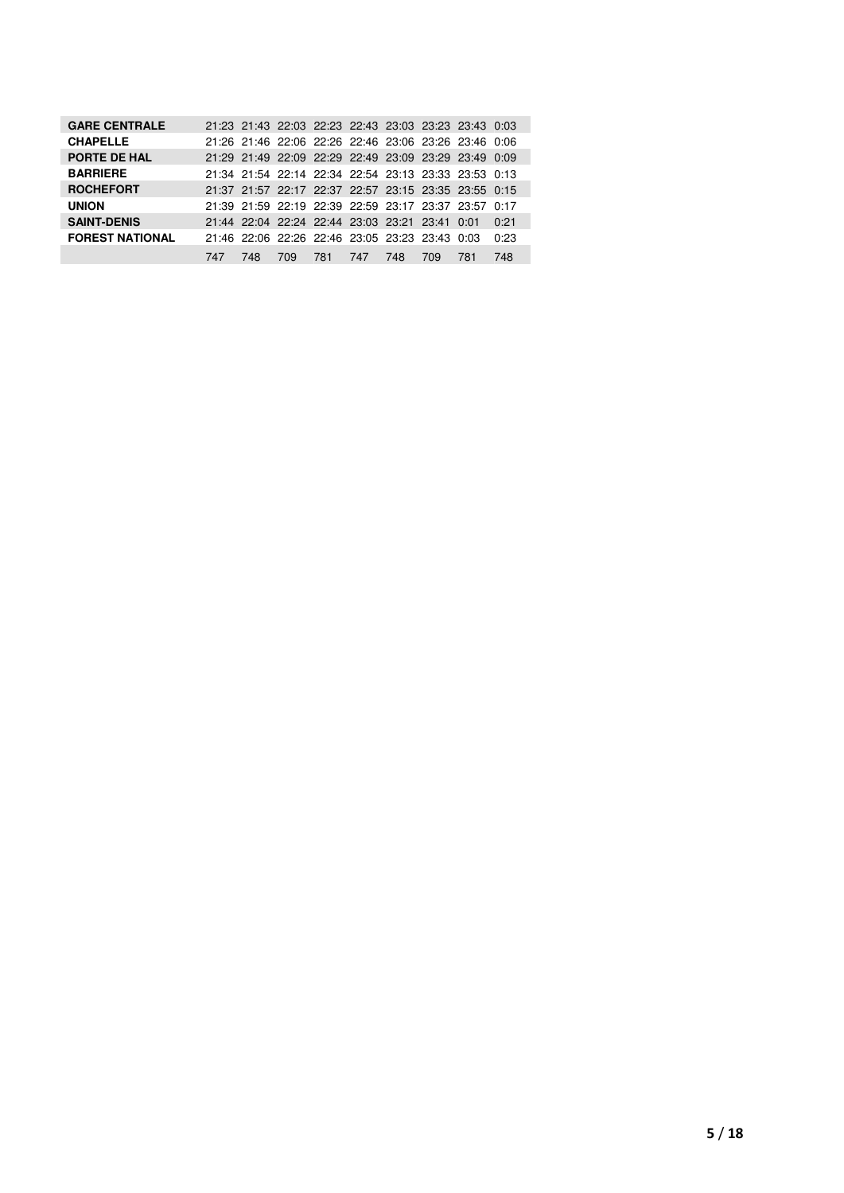| <b>GARE CENTRALE</b>   |     |     |     |     |                                                |     |     | 21:23 21:43 22:03 22:23 22:43 23:03 23:23 23:43 0:03 |      |
|------------------------|-----|-----|-----|-----|------------------------------------------------|-----|-----|------------------------------------------------------|------|
| <b>CHAPELLE</b>        |     |     |     |     |                                                |     |     | 21:26 21:46 22:06 22:26 22:46 23:06 23:26 23:46 0:06 |      |
| PORTE DE HAL           |     |     |     |     |                                                |     |     | 21:29 21:49 22:09 22:29 22:49 23:09 23:29 23:49 0:09 |      |
| <b>BARRIERE</b>        |     |     |     |     |                                                |     |     | 21:34 21:54 22:14 22:34 22:54 23:13 23:33 23:53 0:13 |      |
| <b>ROCHEFORT</b>       |     |     |     |     |                                                |     |     | 21:37 21:57 22:17 22:37 22:57 23:15 23:35 23:55 0:15 |      |
| <b>UNION</b>           |     |     |     |     |                                                |     |     | 21:39 21:59 22:19 22:39 22:59 23:17 23:37 23:57 0:17 |      |
| <b>SAINT-DENIS</b>     |     |     |     |     | 21:44 22:04 22:24 22:44 23:03 23:21 23:41 0:01 |     |     |                                                      | 0:21 |
| <b>FOREST NATIONAL</b> |     |     |     |     | 21:46 22:06 22:26 22:46 23:05 23:23 23:43 0:03 |     |     |                                                      | 0:23 |
|                        | 747 | 748 | 709 | 781 | 747                                            | 748 | 709 | 781                                                  | 748  |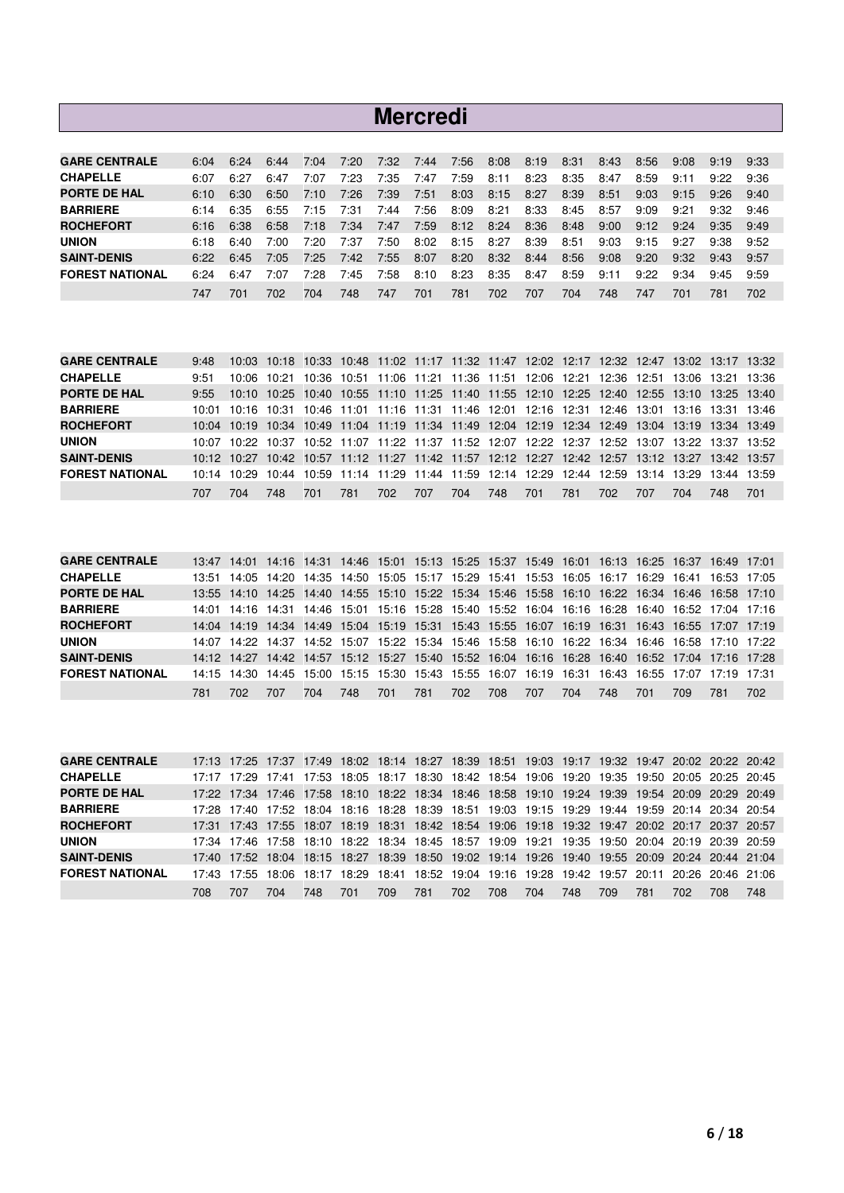|                        |      |      |      |      |      |      | <b>Mercredi</b> |      |      |      |      |      |      |      |      |      |
|------------------------|------|------|------|------|------|------|-----------------|------|------|------|------|------|------|------|------|------|
|                        |      |      |      |      |      |      |                 |      |      |      |      |      |      |      |      |      |
| <b>GARE CENTRALE</b>   | 6:04 | 6:24 | 6:44 | 7:04 | 7:20 | 7:32 | 7:44            | 7:56 | 8:08 | 8:19 | 8:31 | 8:43 | 8:56 | 9:08 | 9:19 | 9:33 |
| <b>CHAPELLE</b>        | 6:07 | 6:27 | 6:47 | 7:07 | 7:23 | 7:35 | 7:47            | 7:59 | 8:11 | 8:23 | 8:35 | 8:47 | 8:59 | 9:11 | 9:22 | 9:36 |
| <b>PORTE DE HAL</b>    | 6:10 | 6:30 | 6:50 | 7:10 | 7:26 | 7:39 | 7:51            | 8:03 | 8:15 | 8:27 | 8:39 | 8:51 | 9:03 | 9:15 | 9:26 | 9:40 |
| <b>BARRIERE</b>        | 6:14 | 6:35 | 6:55 | 7:15 | 7:31 | 7:44 | 7:56            | 8:09 | 8:21 | 8:33 | 8:45 | 8:57 | 9:09 | 9:21 | 9:32 | 9:46 |
| <b>ROCHEFORT</b>       | 6:16 | 6:38 | 6:58 | 7:18 | 7:34 | 7:47 | 7:59            | 8:12 | 8:24 | 8:36 | 8:48 | 9:00 | 9:12 | 9:24 | 9:35 | 9:49 |
| <b>UNION</b>           | 6:18 | 6:40 | 7:00 | 7:20 | 7:37 | 7:50 | 8:02            | 8:15 | 8:27 | 8:39 | 8:51 | 9:03 | 9:15 | 9:27 | 9:38 | 9:52 |
| <b>SAINT-DENIS</b>     | 6:22 | 6:45 | 7:05 | 7:25 | 7:42 | 7:55 | 8:07            | 8:20 | 8:32 | 8:44 | 8:56 | 9:08 | 9:20 | 9:32 | 9:43 | 9:57 |
| <b>FOREST NATIONAL</b> | 6:24 | 6:47 | 7:07 | 7:28 | 7:45 | 7:58 | 8:10            | 8:23 | 8:35 | 8:47 | 8:59 | 9:11 | 9:22 | 9:34 | 9:45 | 9:59 |
|                        | 747  | 701  | 702  | 704  | 748  | 747  | 701             | 781  | 702  | 707  | 704  | 748  | 747  | 701  | 781  | 702  |

| <b>GARE CENTRALE</b>   | 9:48 |     |      |       |     |     |     |     |     |     |     |     |     |     | 10:03 10:18 10:33 10:48 11:02 11:17 11:32 11:47 12:02 12:17 12:32 12:47 13:02 13:17 13:32       |     |
|------------------------|------|-----|------|-------|-----|-----|-----|-----|-----|-----|-----|-----|-----|-----|-------------------------------------------------------------------------------------------------|-----|
| <b>CHAPELLE</b>        | 9:51 |     |      |       |     |     |     |     |     |     |     |     |     |     | 10:06 10:21 10:36 10:51 11:06 11:21 11:36 11:51 12:06 12:21 12:36 12:51 13:06 13:21 13:36       |     |
| <b>PORTE DE HAL</b>    | 9.55 |     |      |       |     |     |     |     |     |     |     |     |     |     | 10:10 10:25 10:40 10:55 11:10 11:25 11:40 11:55 12:10 12:25 12:40 12:55 13:10 13:25 13:40       |     |
| <b>BARRIERE</b>        |      |     |      |       |     |     |     |     |     |     |     |     |     |     | 10:01 10:16 10:31 10:46 11:01 11:16 11:31 11:46 12:01 12:16 12:31 12:46 13:01 13:16 13:31 13:46 |     |
| <b>ROCHEFORT</b>       |      |     |      |       |     |     |     |     |     |     |     |     |     |     | 10:04 10:19 10:34 10:49 11:04 11:19 11:34 11:49 12:04 12:19 12:34 12:49 13:04 13:19 13:34 13:49 |     |
| <b>UNION</b>           |      |     |      |       |     |     |     |     |     |     |     |     |     |     | 10:07 10:22 10:37 10:52 11:07 11:22 11:37 11:52 12:07 12:22 12:37 12:52 13:07 13:22 13:37 13:52 |     |
| <b>SAINT-DENIS</b>     |      |     |      |       |     |     |     |     |     |     |     |     |     |     | 10:12 10:27 10:42 10:57 11:12 11:27 11:42 11:57 12:12 12:27 12:42 12:57 13:12 13:27 13:42 13:57 |     |
| <b>FOREST NATIONAL</b> |      |     |      |       |     |     |     |     |     |     |     |     |     |     | 10:14 10:29 10:44 10:59 11:14 11:29 11:44 11:59 12:14 12:29 12:44 12:59 13:14 13:29 13:44 13:59 |     |
|                        | 707  | 704 | -748 | - 701 | 781 | 702 | 707 | 704 | 748 | 701 | 781 | 702 | 707 | 704 | 748                                                                                             | 701 |

| <b>GARE CENTRALE</b>   |       |      |                                           |     |      |     |     |      | 13:47 14:01 14:16 14:31 14:46 15:01 15:13 15:25 15:37 15:49 16:01 16:13 16:25 16:37 16:49 17:01 |     |     |     |     |     |     |     |
|------------------------|-------|------|-------------------------------------------|-----|------|-----|-----|------|-------------------------------------------------------------------------------------------------|-----|-----|-----|-----|-----|-----|-----|
| <b>CHAPELLE</b>        |       |      | 13:51 14:05 14:20 14:35 14:50 15:05 15:17 |     |      |     |     |      | 15:29  15:41  15:53  16:05  16:17  16:29  16:41  16:53  17:05                                   |     |     |     |     |     |     |     |
| <b>PORTE DE HAL</b>    |       |      |                                           |     |      |     |     |      | 13:55 14:10 14:25 14:40 14:55 15:10 15:22 15:34 15:46 15:58 16:10 16:22 16:34 16:46 16:58 17:10 |     |     |     |     |     |     |     |
| <b>BARRIERE</b>        |       |      |                                           |     |      |     |     |      | 14:01 14:16 14:31 14:46 15:01 15:16 15:28 15:40 15:52 16:04 16:16 16:28 16:40 16:52 17:04 17:16 |     |     |     |     |     |     |     |
| <b>ROCHEFORT</b>       |       |      |                                           |     |      |     |     |      | 14:04 14:19 14:34 14:49 15:04 15:19 15:31 15:43 15:55 16:07 16:19 16:31 16:43 16:55 17:07 17:19 |     |     |     |     |     |     |     |
| <b>UNION</b>           | 14:07 |      |                                           |     |      |     |     |      | 14:22 14:37 14:52 15:07 15:22 15:34 15:46 15:58 16:10 16:22 16:34 16:46 16:58 17:10 17:22       |     |     |     |     |     |     |     |
| <b>SAINT-DENIS</b>     |       |      |                                           |     |      |     |     |      | 14:12 14:27 14:42 14:57 15:12 15:27 15:40 15:52 16:04 16:16 16:28 16:40 16:52 17:04 17:16 17:28 |     |     |     |     |     |     |     |
| <b>FOREST NATIONAL</b> |       |      |                                           |     |      |     |     |      | 14:15 14:30 14:45 15:00 15:15 15:30 15:43 15:55 16:07 16:19 16:31 16:43 16:55 17:07 17:19 17:31 |     |     |     |     |     |     |     |
|                        | 781   | 702. | 707                                       | 704 | 748. | 701 | 781 | 702. | 708                                                                                             | 707 | 704 | 748 | 701 | 709 | 781 | 702 |

| <b>GARE CENTRALE</b>   |     |     |     |     |     |     |     |     |     |     |     |     |     |      | 17:13 17:25 17:37 17:49 18:02 18:14 18:27 18:39 18:51 19:03 19:17 19:32 19:47 20:02 20:22 20:42 |     |
|------------------------|-----|-----|-----|-----|-----|-----|-----|-----|-----|-----|-----|-----|-----|------|-------------------------------------------------------------------------------------------------|-----|
| <b>CHAPELLE</b>        |     |     |     |     |     |     |     |     |     |     |     |     |     |      | 17:17 17:29 17:41 17:53 18:05 18:17 18:30 18:42 18:54 19:06 19:20 19:35 19:50 20:05 20:25 20:45 |     |
| <b>PORTE DE HAL</b>    |     |     |     |     |     |     |     |     |     |     |     |     |     |      | 17:22 17:34 17:46 17:58 18:10 18:22 18:34 18:46 18:58 19:10 19:24 19:39 19:54 20:09 20:29 20:49 |     |
| <b>BARRIERE</b>        |     |     |     |     |     |     |     |     |     |     |     |     |     |      | 17:28 17:40 17:52 18:04 18:16 18:28 18:39 18:51 19:03 19:15 19:29 19:44 19:59 20:14 20:34 20:54 |     |
| <b>ROCHEFORT</b>       |     |     |     |     |     |     |     |     |     |     |     |     |     |      | 17:31 17:43 17:55 18:07 18:19 18:31 18:42 18:54 19:06 19:18 19:32 19:47 20:02 20:17 20:37 20:57 |     |
| <b>UNION</b>           |     |     |     |     |     |     |     |     |     |     |     |     |     |      | 17:34 17:46 17:58 18:10 18:22 18:34 18:45 18:57 19:09 19:21 19:35 19:50 20:04 20:19 20:39 20:59 |     |
| <b>SAINT-DENIS</b>     |     |     |     |     |     |     |     |     |     |     |     |     |     |      | 17:40 17:52 18:04 18:15 18:27 18:39 18:50 19:02 19:14 19:26 19:40 19:55 20:09 20:24 20:44 21:04 |     |
| <b>FOREST NATIONAL</b> |     |     |     |     |     |     |     |     |     |     |     |     |     |      | 17:43 17:55 18:06 18:17 18:29 18:41 18:52 19:04 19:16 19:28 19:42 19:57 20:11 20:26 20:46 21:06 |     |
|                        | 708 | 707 | 704 | 748 | 701 | 709 | 781 | 702 | 708 | 704 | 748 | 709 | 781 | 702. | 708                                                                                             | 748 |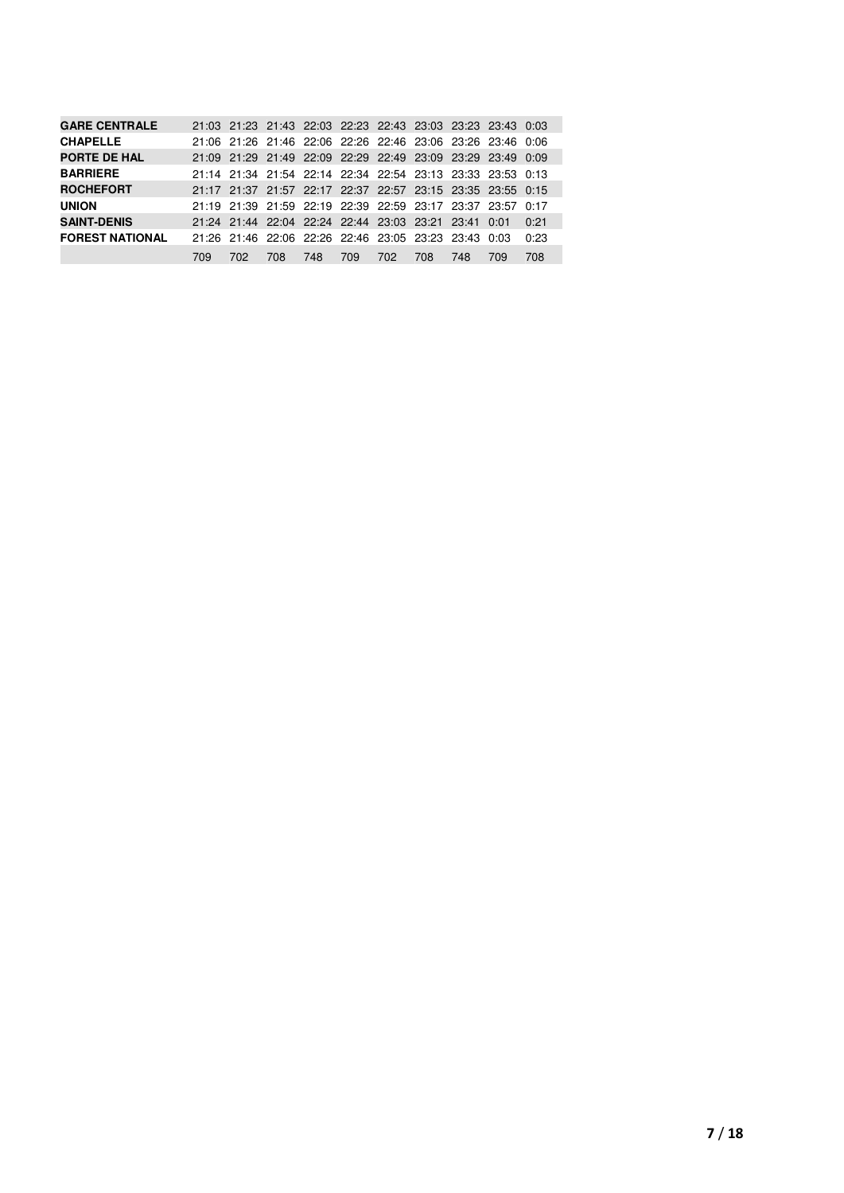| <b>GARE CENTRALE</b>   |     |     | 21:03 21:23 21:43 22:03 22:23 22:43 23:03 23:23 23:43 0:03 |     |     |     |     |     |     |      |
|------------------------|-----|-----|------------------------------------------------------------|-----|-----|-----|-----|-----|-----|------|
| <b>CHAPELLE</b>        |     |     | 21:06 21:26 21:46 22:06 22:26 22:46 23:06 23:26 23:46 0:06 |     |     |     |     |     |     |      |
| <b>PORTE DE HAL</b>    |     |     | 21:09 21:29 21:49 22:09 22:29 22:49 23:09 23:29 23:49 0:09 |     |     |     |     |     |     |      |
| <b>BARRIERE</b>        |     |     | 21:14 21:34 21:54 22:14 22:34 22:54 23:13 23:33 23:53 0:13 |     |     |     |     |     |     |      |
| <b>ROCHEFORT</b>       |     |     | 21:17 21:37 21:57 22:17 22:37 22:57 23:15 23:35 23:55 0:15 |     |     |     |     |     |     |      |
| <b>UNION</b>           |     |     | 21:19 21:39 21:59 22:19 22:39 22:59 23:17 23:37 23:57 0:17 |     |     |     |     |     |     |      |
| <b>SAINT-DENIS</b>     |     |     | 21:24 21:44 22:04 22:24 22:44 23:03 23:21 23:41 0:01       |     |     |     |     |     |     | 0:21 |
| <b>FOREST NATIONAL</b> |     |     | 21:26 21:46 22:06 22:26 22:46 23:05 23:23 23:43 0:03       |     |     |     |     |     |     | 0:23 |
|                        | 709 | 702 | 708                                                        | 748 | 709 | 702 | 708 | 748 | 709 | 708  |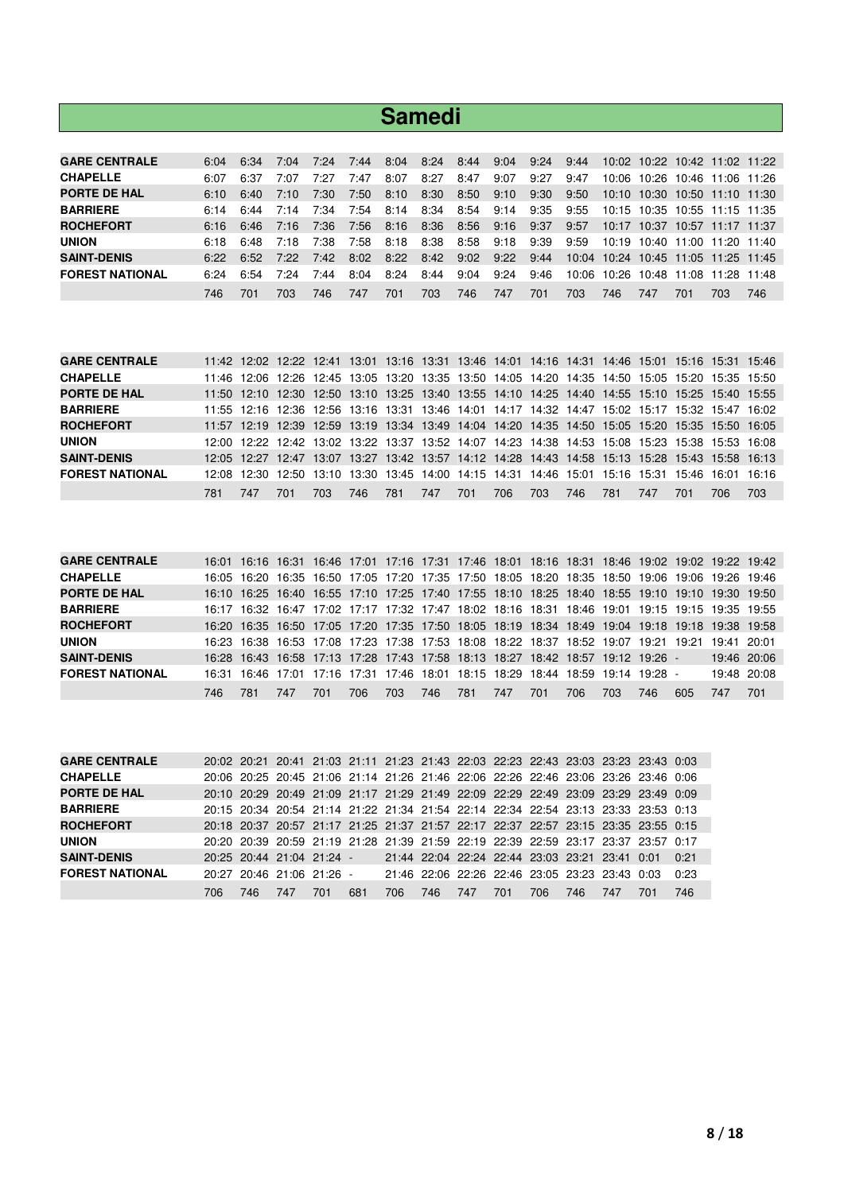|                        |      |      |      |      |      | <b>Samedi</b> |      |      |      |      |       |       |                   |       |                               |     |
|------------------------|------|------|------|------|------|---------------|------|------|------|------|-------|-------|-------------------|-------|-------------------------------|-----|
|                        |      |      |      |      |      |               |      |      |      |      |       |       |                   |       |                               |     |
| <b>GARE CENTRALE</b>   | 6:04 | 6:34 | 7:04 | 7:24 | 7:44 | 8:04          | 8:24 | 8:44 | 9:04 | 9:24 | 9:44  |       |                   |       | 10:02 10:22 10:42 11:02 11:22 |     |
| <b>CHAPELLE</b>        | 6:07 | 6:37 | 7:07 | 7:27 | 7:47 | 8:07          | 8:27 | 8:47 | 9:07 | 9:27 | 9:47  | 10:06 | 10:26             |       | 10:46 11:06 11:26             |     |
| <b>PORTE DE HAL</b>    | 6:10 | 6:40 | 7:10 | 7:30 | 7:50 | 8:10          | 8:30 | 8:50 | 9:10 | 9:30 | 9:50  |       |                   |       | 10:10 10:30 10:50 11:10 11:30 |     |
| <b>BARRIERE</b>        | 6:14 | 6:44 | 7:14 | 7:34 | 7:54 | 8:14          | 8:34 | 8:54 | 9:14 | 9:35 | 9:55  |       |                   |       | 10:15 10:35 10:55 11:15 11:35 |     |
| <b>ROCHEFORT</b>       | 6:16 | 6:46 | 7:16 | 7:36 | 7:56 | 8:16          | 8:36 | 8:56 | 9:16 | 9:37 | 9:57  |       |                   |       | 10:17 10:37 10:57 11:17 11:37 |     |
| <b>UNION</b>           | 6:18 | 6:48 | 7:18 | 7:38 | 7:58 | 8:18          | 8:38 | 8:58 | 9:18 | 9:39 | 9:59  |       | 10:19 10:40 11:00 |       | 11:20 11:40                   |     |
| <b>SAINT-DENIS</b>     | 6:22 | 6:52 | 7:22 | 7:42 | 8:02 | 8:22          | 8:42 | 9:02 | 9:22 | 9:44 | 10:04 |       |                   |       | 10:24 10:45 11:05 11:25 11:45 |     |
| <b>FOREST NATIONAL</b> | 6:24 | 6:54 | 7:24 | 7:44 | 8:04 | 8:24          | 8:44 | 9:04 | 9:24 | 9:46 | 10:06 | 10:26 | 10:48             | 11:08 | 11:28 11:48                   |     |
|                        | 746  | 701  | 703  | 746. | 747  | 701           | 703  | 746  | 747  | 701  | 703   | 746   | 747               | 701   | 703.                          | 746 |

| <b>GARE CENTRALE</b>   |     |     |                                                                                                 |      |     |       |     |     |     |     |     |     |     |     |     | 11:42 12:02 12:22 12:41 13:01 13:16 13:31 13:46 14:01 14:16 14:31 14:46 15:01 15:16 15:31 15:46 |
|------------------------|-----|-----|-------------------------------------------------------------------------------------------------|------|-----|-------|-----|-----|-----|-----|-----|-----|-----|-----|-----|-------------------------------------------------------------------------------------------------|
| <b>CHAPELLE</b>        |     |     | 11:46 12:06 12:26 12:45 13:05 13:20 13:35 13:50 14:05 14:20 14:35 14:50 15:05 15:20 15:35 15:50 |      |     |       |     |     |     |     |     |     |     |     |     |                                                                                                 |
| <b>PORTE DE HAL</b>    |     |     | 11:50 12:10 12:30 12:50 13:10 13:25 13:40 13:55 14:10 14:25 14:40 14:55 15:10 15:25 15:40 15:55 |      |     |       |     |     |     |     |     |     |     |     |     |                                                                                                 |
| <b>BARRIERE</b>        |     |     | 11:55 12:16 12:36 12:56 13:16 13:31 13:46 14:01 14:17 14:32 14:47 15:02 15:17 15:32 15:47 16:02 |      |     |       |     |     |     |     |     |     |     |     |     |                                                                                                 |
| <b>ROCHEFORT</b>       |     |     | 11:57 12:19 12:39 12:59 13:19 13:34 13:49 14:04 14:20 14:35 14:50 15:05 15:20 15:35 15:50 16:05 |      |     |       |     |     |     |     |     |     |     |     |     |                                                                                                 |
| <b>UNION</b>           |     |     | 12:00 12:22 12:42 13:02 13:22 13:37 13:52 14:07 14:23 14:38 14:53 15:08 15:23 15:38 15:53 16:08 |      |     |       |     |     |     |     |     |     |     |     |     |                                                                                                 |
| <b>SAINT-DENIS</b>     |     |     | 12:05 12:27 12:47 13:07 13:27 13:42 13:57 14:12 14:28 14:43 14:58 15:13 15:28 15:43 15:58 16:13 |      |     |       |     |     |     |     |     |     |     |     |     |                                                                                                 |
| <b>FOREST NATIONAL</b> |     |     |                                                                                                 |      |     |       |     |     |     |     |     |     |     |     |     | 12:08 12:30 12:50 13:10 13:30 13:45 14:00 14:15 14:31 14:46 15:01 15:16 15:31 15:46 16:01 16:16 |
|                        | 781 | 747 | 701                                                                                             | 703. | 746 | - 781 | 747 | 701 | 706 | 703 | 746 | 781 | 747 | 701 | 706 | 703                                                                                             |

| <b>GARE CENTRALE</b>   |       |     |     |     |      |                                                                                 |     |     |     |     |     |     |       |     | 16:01 16:16 16:31 16:46 17:01 17:16 17:31 17:46 18:01 18:16 18:31 18:46 19:02 19:02 19:22 19:42 |             |
|------------------------|-------|-----|-----|-----|------|---------------------------------------------------------------------------------|-----|-----|-----|-----|-----|-----|-------|-----|-------------------------------------------------------------------------------------------------|-------------|
| <b>CHAPELLE</b>        |       |     |     |     |      | 16:05 16:20 16:35 16:50 17:05 17:20 17:35 17:50 18:05 18:20 18:35 18:50 19:06   |     |     |     |     |     |     |       |     | 19:06 19:26 19:46                                                                               |             |
| <b>PORTE DE HAL</b>    |       |     |     |     |      | 16:10 16:25 16:40 16:55 17:10 17:25 17:40 17:55 18:10 18:25 18:40 18:55 19:10   |     |     |     |     |     |     |       |     | 19:10 19:30 19:50                                                                               |             |
| <b>BARRIERE</b>        |       |     |     |     |      |                                                                                 |     |     |     |     |     |     |       |     | 16:17 16:32 16:47 17:02 17:17 17:32 17:47 18:02 18:16 18:31 18:46 19:01 19:15 19:15 19:35 19:55 |             |
| <b>ROCHEFORT</b>       |       |     |     |     |      |                                                                                 |     |     |     |     |     |     |       |     | 16:20 16:35 16:50 17:05 17:20 17:35 17:50 18:05 18:19 18:34 18:49 19:04 19:18 19:18 19:38 19:58 |             |
| <b>UNION</b>           |       |     |     |     |      | 16:23 16:38 16:53 17:08 17:23 17:38 17:53 18:08 18:22 18:37 18:52 19:07         |     |     |     |     |     |     | 19:21 |     | 19:21 19:41 20:01                                                                               |             |
| <b>SAINT-DENIS</b>     |       |     |     |     |      | 16:28 16:43 16:58 17:13 17:28 17:43 17:58 18:13 18:27 18:42 18:57 19:12 19:26 - |     |     |     |     |     |     |       |     |                                                                                                 | 19:46 20:06 |
| <b>FOREST NATIONAL</b> | 16:31 |     |     |     |      | 16:46 17:01 17:16 17:31 17:46 18:01 18:15 18:29 18:44 18:59 19:14 19:28 -       |     |     |     |     |     |     |       |     |                                                                                                 | 19:48 20:08 |
|                        | 746   | 781 | 747 | 701 | 706. | 703                                                                             | 746 | 781 | 747 | 701 | 706 | 703 | 746.  | 605 | 747                                                                                             | 701         |

| <b>GARE CENTRALE</b>   |     |                           |     |     |     |     |     |                                                |     |     |      |     | 20:02 20:21 20:41 21:03 21:11 21:23 21:43 22:03 22:23 22:43 23:03 23:23 23:43 0:03 |      |
|------------------------|-----|---------------------------|-----|-----|-----|-----|-----|------------------------------------------------|-----|-----|------|-----|------------------------------------------------------------------------------------|------|
| <b>CHAPELLE</b>        |     |                           |     |     |     |     |     |                                                |     |     |      |     | 20:06 20:25 20:45 21:06 21:14 21:26 21:46 22:06 22:26 22:46 23:06 23:26 23:46 0:06 |      |
| <b>PORTE DE HAL</b>    |     |                           |     |     |     |     |     |                                                |     |     |      |     | 20:10 20:29 20:49 21:09 21:17 21:29 21:49 22:09 22:29 22:49 23:09 23:29 23:49 0:09 |      |
| <b>BARRIERE</b>        |     |                           |     |     |     |     |     |                                                |     |     |      |     | 20:15 20:34 20:54 21:14 21:22 21:34 21:54 22:14 22:34 22:54 23:13 23:33 23:53 0:13 |      |
| <b>ROCHEFORT</b>       |     |                           |     |     |     |     |     |                                                |     |     |      |     | 20:18 20:37 20:57 21:17 21:25 21:37 21:57 22:17 22:37 22:57 23:15 23:35 23:55 0:15 |      |
| <b>UNION</b>           |     |                           |     |     |     |     |     |                                                |     |     |      |     | 20:20 20:39 20:59 21:19 21:28 21:39 21:59 22:19 22:39 22:59 23:17 23:37 23:57 0:17 |      |
| <b>SAINT-DENIS</b>     |     | 20:25 20:44 21:04 21:24 - |     |     |     |     |     | 21:44 22:04 22:24 22:44 23:03 23:21 23:41 0:01 |     |     |      |     |                                                                                    | 0.21 |
| <b>FOREST NATIONAL</b> |     | 20:27 20:46 21:06 21:26 - |     |     |     |     |     | 21:46 22:06 22:26 22:46 23:05 23:23 23:43 0:03 |     |     |      |     |                                                                                    | 0:23 |
|                        | 706 | 746.                      | 747 | 701 | 681 | 706 | 746 | 747                                            | 701 | 706 | 746. | 747 | 701                                                                                | 746  |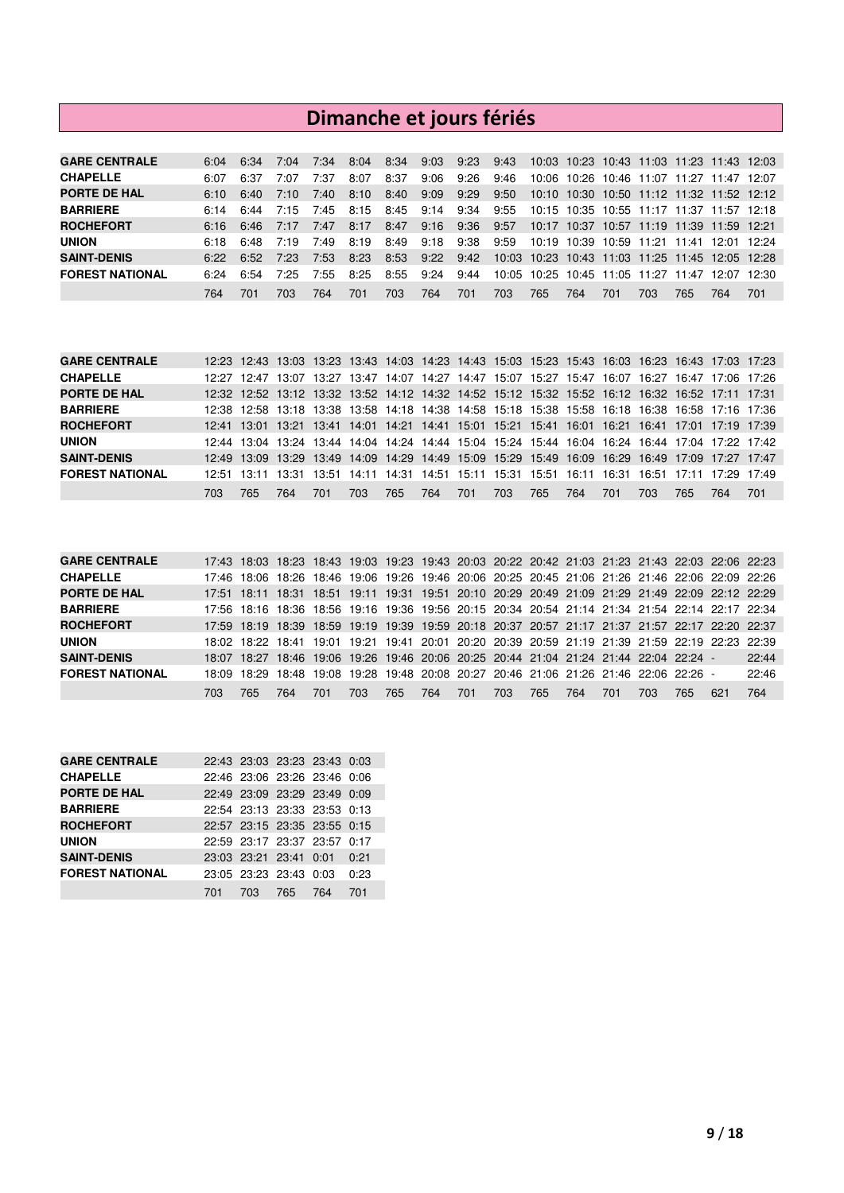# **Dimanche et jours fériés**

| <b>GARE CENTRALE</b>   | 6:04 | 6:34 | 7:04 | 7:34 | 8:04 | 8:34 | 9:03 | 9:23 | 9:43  |                                                 |     |                         | 10:03 10:23 10:43 11:03 11:23 11:43 12:03 |       |                   |       |
|------------------------|------|------|------|------|------|------|------|------|-------|-------------------------------------------------|-----|-------------------------|-------------------------------------------|-------|-------------------|-------|
| <b>CHAPELLE</b>        | 6:07 | 6:37 | 7:07 | 7:37 | 8:07 | 8:37 | 9:06 | 9:26 | 9:46  |                                                 |     | 10:06 10:26 10:46 11:07 |                                           |       | 11:27 11:47 12:07 |       |
| <b>PORTE DE HAL</b>    | 6:10 | 6:40 | 7:10 | 7:40 | 8:10 | 8:40 | 9:09 | 9:29 | 9:50  |                                                 |     |                         | 10:10 10:30 10:50 11:12 11:32 11:52 12:12 |       |                   |       |
| <b>BARRIERE</b>        | 6:14 | 6:44 | 7:15 | 7:45 | 8:15 | 8:45 | 9:14 | 9:34 | 9:55  |                                                 |     |                         | 10:15 10:35 10:55 11:17 11:37 11:57 12:18 |       |                   |       |
| <b>ROCHEFORT</b>       | 6:16 | 6:46 | 7:17 | 7:47 | 8:17 | 8:47 | 9:16 | 9:36 | 9:57  |                                                 |     |                         | 10:17 10:37 10:57 11:19 11:39 11:59 12:21 |       |                   |       |
| <b>UNION</b>           | 6:18 | 6:48 | 7:19 | 7:49 | 8:19 | 8:49 | 9:18 | 9:38 | 9:59  | 10:19 10:39 10:59 11:21 11:41 12:01 12:24       |     |                         |                                           |       |                   |       |
| <b>SAINT-DENIS</b>     | 6.22 | 6:52 | 7:23 | 7:53 | 8:23 | 8:53 | 9:22 | 9:42 |       | 10:03 10:23 10:43 11:03 11:25 11:45 12:05 12:28 |     |                         |                                           |       |                   |       |
| <b>FOREST NATIONAL</b> | 6.24 | 6:54 | 7:25 | 7:55 | 8:25 | 8:55 | 9:24 | 9:44 | 10:05 | 10:25 10:45 11:05                               |     |                         | 11:27                                     | 11:47 | 12.07             | 12:30 |
|                        | 764  | 701  | 703  | 764  | 701  | 703  | 764  | 701  | 703   | 765                                             | 764 | 701                     | 703                                       | 765.  | 764               | 701   |

| <b>GARE CENTRALE</b>   |      |             |     |     |     |         |     |       |     |     |     |     |     | 12:23 12:43 13:03 13:23 13:43 14:03 14:23 14:43 15:03 15:23 15:43 16:03 16:23 16:43 17:03 17:23 |     |
|------------------------|------|-------------|-----|-----|-----|---------|-----|-------|-----|-----|-----|-----|-----|-------------------------------------------------------------------------------------------------|-----|
| <b>CHAPELLE</b>        |      | 12:27 12:47 |     |     |     |         |     |       |     |     |     |     |     | 13:07 13:27 13:47 14:07 14:27 14:47 15:07 15:27 15:47 16:07 16:27 16:47 17:06 17:26             |     |
| <b>PORTE DE HAL</b>    |      |             |     |     |     |         |     |       |     |     |     |     |     | 12:32 12:52 13:12 13:32 13:52 14:12 14:32 14:52 15:12 15:32 15:52 16:12 16:32 16:52 17:11 17:31 |     |
| <b>BARRIERE</b>        |      |             |     |     |     |         |     |       |     |     |     |     |     | 12:38 12:58 13:18 13:38 13:58 14:18 14:38 14:58 15:18 15:38 15:58 16:18 16:38 16:58 17:16 17:36 |     |
| <b>ROCHEFORT</b>       |      |             |     |     |     |         |     |       |     |     |     |     |     | 12:41 13:01 13:21 13:41 14:01 14:21 14:41 15:01 15:21 15:41 16:01 16:21 16:41 17:01 17:19 17:39 |     |
| <b>UNION</b>           |      |             |     |     |     |         |     |       |     |     |     |     |     | 12:44 13:04 13:24 13:44 14:04 14:24 14:44 15:04 15:24 15:44 16:04 16:24 16:44 17:04 17:22 17:42 |     |
| <b>SAINT-DENIS</b>     |      |             |     |     |     |         |     |       |     |     |     |     |     | 12:49 13:09 13:29 13:49 14:09 14:29 14:49 15:09 15:29 15:49 16:09 16:29 16:49 17:09 17:27 17:47 |     |
| <b>FOREST NATIONAL</b> |      |             |     |     |     |         |     |       |     |     |     |     |     | 12:51 13:11 13:31 13:51 14:11 14:31 14:51 15:11 15:31 15:51 16:11 16:31 16:51 17:11 17:29 17:49 |     |
|                        | 703. | 765         | 764 | 701 | 703 | 765 764 | 701 | - 703 | 765 | 764 | 701 | 703 | 765 | 764                                                                                             | 701 |

| <b>GARE CENTRALE</b>   |       |     |                                                                                       |     |     |     |     |     |     |     |     |     |     |      | 17:43 18:03 18:23 18:43 19:03 19:23 19:43 20:03 20:22 20:42 21:03 21:23 21:43 22:03 22:06 22:23 |       |
|------------------------|-------|-----|---------------------------------------------------------------------------------------|-----|-----|-----|-----|-----|-----|-----|-----|-----|-----|------|-------------------------------------------------------------------------------------------------|-------|
| <b>CHAPELLE</b>        | 17:46 |     |                                                                                       |     |     |     |     |     |     |     |     |     |     |      | 18:06 18:26 18:46 19:06 19:26 19:46 20:06 20:25 20:45 21:06 21:26 21:46 22:06 22:09 22:26       |       |
| <b>PORTE DE HAL</b>    |       |     |                                                                                       |     |     |     |     |     |     |     |     |     |     |      | 17:51 18:11 18:31 18:51 19:11 19:31 19:51 20:10 20:29 20:49 21:09 21:29 21:49 22:09 22:12 22:29 |       |
| <b>BARRIERE</b>        |       |     |                                                                                       |     |     |     |     |     |     |     |     |     |     |      | 17:56 18:16 18:36 18:56 19:16 19:36 19:56 20:15 20:34 20:54 21:14 21:34 21:54 22:14 22:17 22:34 |       |
| <b>ROCHEFORT</b>       |       |     |                                                                                       |     |     |     |     |     |     |     |     |     |     |      | 17:59 18:19 18:39 18:59 19:19 19:39 19:59 20:18 20:37 20:57 21:17 21:37 21:57 22:17 22:20 22:37 |       |
| <b>UNION</b>           |       |     |                                                                                       |     |     |     |     |     |     |     |     |     |     |      | 18:02 18:22 18:41 19:01 19:21 19:41 20:01 20:20 20:39 20:59 21:19 21:39 21:59 22:19 22:23 22:39 |       |
| <b>SAINT-DENIS</b>     |       |     | 18:07 18:27 18:46 19:06 19:26 19:46 20:06 20:25 20:44 21:04 21:24 21:44 22:04 22:24 - |     |     |     |     |     |     |     |     |     |     |      |                                                                                                 | 22:44 |
| <b>FOREST NATIONAL</b> | 18:09 |     | 18:29 18:48 19:08 19:28 19:48 20:08 20:27 20:46 21:06 21:26 21:46 22:06 22:26 -       |     |     |     |     |     |     |     |     |     |     |      |                                                                                                 | 22:46 |
|                        | 703   | 765 | 764                                                                                   | 701 | 703 | 765 | 764 | 701 | 703 | 765 | 764 | 701 | 703 | 765. | 621                                                                                             | 764   |

| <b>GARE CENTRALE</b>   |     |     | 22:43 23:03 23:23 23:43 0:03 |     |      |
|------------------------|-----|-----|------------------------------|-----|------|
| <b>CHAPELLE</b>        |     |     | 22:46 23:06 23:26 23:46 0:06 |     |      |
| <b>PORTE DE HAL</b>    |     |     | 22:49 23:09 23:29 23:49 0:09 |     |      |
| <b>BARRIERE</b>        |     |     | 22:54 23:13 23:33 23:53 0:13 |     |      |
| <b>ROCHEFORT</b>       |     |     | 22:57 23:15 23:35 23:55 0:15 |     |      |
| <b>UNION</b>           |     |     | 22:59 23:17 23:37 23:57 0:17 |     |      |
| <b>SAINT-DENIS</b>     |     |     | 23:03 23:21 23:41 0:01       |     | 0:21 |
| <b>FOREST NATIONAL</b> |     |     | 23:05 23:23 23:43 0:03       |     | 0:23 |
|                        | 701 | 703 | 765                          | 764 | 701  |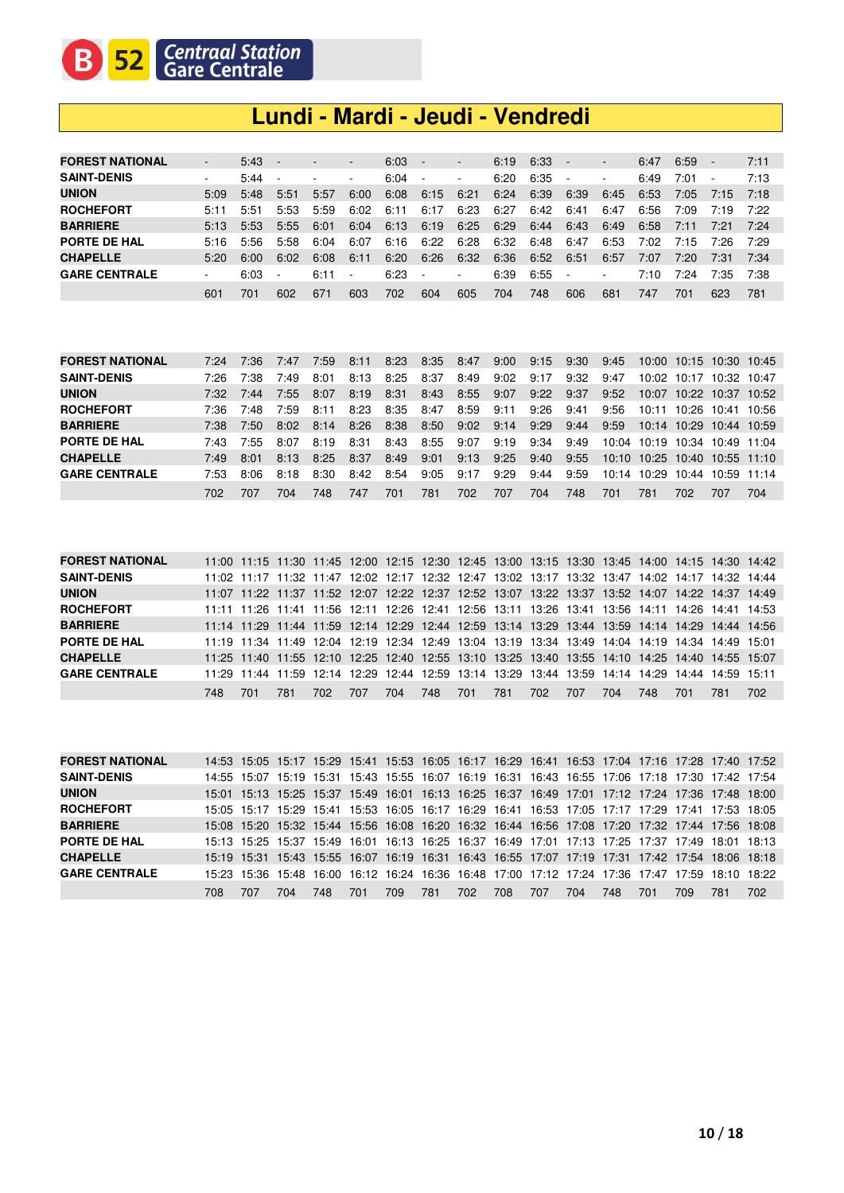### **Lundi - Mardi - Jeudi - Vendredi**

| <b>FOREST NATIONAL</b> | -    | $5:43 -$ |                          | $\overline{\phantom{a}}$ | $\overline{\phantom{a}}$ | 6:03 | $\sim$                   | $\overline{\phantom{a}}$ | 6:19 | 6:33 | $\overline{\phantom{a}}$ | $\overline{\phantom{a}}$ | 6:47 | 6:59 | $\overline{\phantom{a}}$ | 7:11 |
|------------------------|------|----------|--------------------------|--------------------------|--------------------------|------|--------------------------|--------------------------|------|------|--------------------------|--------------------------|------|------|--------------------------|------|
| <b>SAINT-DENIS</b>     | ۰    | 5:44     |                          |                          | -                        | 6:04 | $\sim$                   | $\sim$                   | 6:20 | 6:35 | $\sim$                   | ٠                        | 6:49 | 7:01 | $\overline{\phantom{a}}$ | 7:13 |
| <b>UNION</b>           | 5:09 | 5:48     | 5:51                     | 5:57                     | 6:00                     | 6:08 | 6:15                     | 6:21                     | 6:24 | 6:39 | 6:39                     | 6:45                     | 6:53 | 7:05 | 7:15                     | 7:18 |
| <b>ROCHEFORT</b>       | 5:11 | 5:51     | 5:53                     | 5:59                     | 6:02                     | 6:11 | 6:17                     | 6:23                     | 6:27 | 6:42 | 6:41                     | 6:47                     | 6:56 | 7:09 | 7:19                     | 7:22 |
| <b>BARRIERE</b>        | 5:13 | 5:53     | 5:55                     | 6:01                     | 6:04                     | 6:13 | 6:19                     | 6:25                     | 6:29 | 6:44 | 6:43                     | 6:49                     | 6:58 | 7:11 | 7:21                     | 7:24 |
| PORTE DE HAL           | 5:16 | 5:56     | 5:58                     | 6:04                     | 6:07                     | 6:16 | 6:22                     | 6:28                     | 6:32 | 6:48 | 6:47                     | 6:53                     | 7:02 | 7:15 | 7:26                     | 7:29 |
| <b>CHAPELLE</b>        | 5:20 | 6:00     | 6:02                     | 6:08                     | 6:11                     | 6:20 | 6:26                     | 6:32                     | 6:36 | 6:52 | 6:51                     | 6:57                     | 7:07 | 7:20 | 7:31                     | 7:34 |
| <b>GARE CENTRALE</b>   | ۰    | 6:03     | $\overline{\phantom{a}}$ | 6:11                     | ۰.                       | 6:23 | $\overline{\phantom{a}}$ | $\overline{\phantom{a}}$ | 6:39 | 6:55 | $\overline{\phantom{a}}$ | $\overline{\phantom{a}}$ | 7:10 | 7:24 | 7:35                     | 7:38 |
|                        | 601  | 701      | 602                      | 671                      | 603                      | 702  | 604                      | 605                      | 704  | 748  | 606                      | 681                      | 747  | 701  | 623                      | 781  |

| <b>FOREST NATIONAL</b> | 7.24 | 7:36 | 7:47 | 7:59 | 8:11 | 8:23 | 8:35 | 8:47 | 9:00 | 9:15 | 9:30 | 9:45 |                               |     | 10:00 10:15 10:30 10:45 |     |
|------------------------|------|------|------|------|------|------|------|------|------|------|------|------|-------------------------------|-----|-------------------------|-----|
| <b>SAINT-DENIS</b>     | 7:26 | 7:38 | 7:49 | 8:01 | 8:13 | 8:25 | 8:37 | 8:49 | 9:02 | 9:17 | 9:32 | 9:47 |                               |     | 10:02 10:17 10:32 10:47 |     |
| <b>UNION</b>           | 7.32 | 7:44 | 7:55 | 8:07 | 8:19 | 8:31 | 8:43 | 8:55 | 9:07 | 9:22 | 9:37 | 9:52 |                               |     | 10:07 10:22 10:37 10:52 |     |
| <b>ROCHEFORT</b>       | 7:36 | 7:48 | 7:59 | 8:11 | 8:23 | 8:35 | 8:47 | 8:59 | 9:11 | 9:26 | 9:41 | 9:56 |                               |     | 10:11 10:26 10:41 10:56 |     |
| <b>BARRIERE</b>        | 7:38 | 7:50 | 8:02 | 8:14 | 8:26 | 8:38 | 8:50 | 9:02 | 9:14 | 9:29 | 9:44 | 9:59 |                               |     | 10:14 10:29 10:44 10:59 |     |
| PORTE DE HAL           | 7.43 | 7:55 | 8:07 | 8:19 | 8:31 | 8:43 | 8:55 | 9:07 | 9:19 | 9:34 | 9:49 |      | 10:04 10:19 10:34 10:49 11:04 |     |                         |     |
| <b>CHAPELLE</b>        | 7.49 | 8:01 | 8:13 | 8:25 | 8:37 | 8:49 | 9:01 | 9:13 | 9:25 | 9:40 | 9:55 |      | 10:10 10:25 10:40 10:55 11:10 |     |                         |     |
| <b>GARE CENTRALE</b>   | 7:53 | 8:06 | 8:18 | 8:30 | 8:42 | 8:54 | 9:05 | 9:17 | 9:29 | 9:44 | 9:59 |      | 10:14 10:29 10:44 10:59 11:14 |     |                         |     |
|                        | 702. | 707  | 704  | 748. | 747  | 701  | 781  | 702  | 707  | 704  | 748  | 701  | 781                           | 702 | 707                     | 704 |

| <b>FOREST NATIONAL</b> |     |     | 11:00 11:15 11:30 11:45 12:00 12:15 12:30 12:45 13:00 13:15 13:30 13:45 14:00 14:15 14:30 14:42 |      |     |     |     |     |     |     |     |     |     |     |                   |     |
|------------------------|-----|-----|-------------------------------------------------------------------------------------------------|------|-----|-----|-----|-----|-----|-----|-----|-----|-----|-----|-------------------|-----|
| <b>SAINT-DENIS</b>     |     |     | 11:02 11:17 11:32 11:47 12:02 12:17 12:32 12:47 13:02 13:17 13:32 13:47 14:02 14:17 14:32 14:44 |      |     |     |     |     |     |     |     |     |     |     |                   |     |
| <b>UNION</b>           |     |     | 11:07 11:22 11:37 11:52 12:07 12:22 12:37 12:52 13:07 13:22 13:37 13:52 14:07 14:22 14:37 14:49 |      |     |     |     |     |     |     |     |     |     |     |                   |     |
| <b>ROCHEFORT</b>       |     |     | 11:11 11:26 11:41 11:56 12:11 12:26 12:41 12:56 13:11 13:26 13:41 13:56 14:11 14:26 14:41 14:53 |      |     |     |     |     |     |     |     |     |     |     |                   |     |
| <b>BARRIERE</b>        |     |     | 11:14 11:29 11:44 11:59 12:14 12:29 12:44 12:59 13:14 13:29 13:44 13:59 14:14 14:29 14:44 14:56 |      |     |     |     |     |     |     |     |     |     |     |                   |     |
| PORTE DE HAL           |     |     | 11:19 11:34 11:49 12:04 12:19 12:34 12:49 13:04 13:19 13:34 13:49 14:04 14:19 14:34 14:49 15:01 |      |     |     |     |     |     |     |     |     |     |     |                   |     |
| <b>CHAPELLE</b>        |     |     | 11:25 11:40 11:55 12:10 12:25 12:40 12:55 13:10 13:25 13:40 13:55 14:10 14:25 14:40 14:55 15:07 |      |     |     |     |     |     |     |     |     |     |     |                   |     |
| <b>GARE CENTRALE</b>   |     |     | 11:29 11:44 11:59 12:14 12:29 12:44 12:59 13:14 13:29 13:44 13:59 14:14 14:29                   |      |     |     |     |     |     |     |     |     |     |     | 14:44 14:59 15:11 |     |
|                        | 748 | 701 | 781                                                                                             | 702. | 707 | 704 | 748 | 701 | 781 | 702 | 707 | 704 | 748 | 701 | 781               | 702 |

| <b>FOREST NATIONAL</b> |     |     |                                                                               |      |     |     |     |     |     |     |     |     |     |     | 14.53 15:05 15:17 15:29 15:41 15:53 16:05 16:17 16:29 16:41 16:53 17:04 17:16 17:28 17:40 17:52 |     |
|------------------------|-----|-----|-------------------------------------------------------------------------------|------|-----|-----|-----|-----|-----|-----|-----|-----|-----|-----|-------------------------------------------------------------------------------------------------|-----|
| <b>SAINT-DENIS</b>     |     |     |                                                                               |      |     |     |     |     |     |     |     |     |     |     | 14:55 15:07 15:19 15:31 15:43 15:55 16:07 16:19 16:31 16:43 16:55 17:06 17:18 17:30 17:42 17:54 |     |
| <b>UNION</b>           |     |     |                                                                               |      |     |     |     |     |     |     |     |     |     |     | 15:01 15:13 15:25 15:37 15:49 16:01 16:13 16:25 16:37 16:49 17:01 17:12 17:24 17:36 17:48 18:00 |     |
| <b>ROCHEFORT</b>       |     |     |                                                                               |      |     |     |     |     |     |     |     |     |     |     | 15:05 15:17 15:29 15:41 15:53 16:05 16:17 16:29 16:41 16:53 17:05 17:17 17:29 17:41 17:53 18:05 |     |
| <b>BARRIERE</b>        |     |     |                                                                               |      |     |     |     |     |     |     |     |     |     |     | 15:08 15:20 15:32 15:44 15:56 16:08 16:20 16:32 16:44 16:56 17:08 17:20 17:32 17:44 17:56 18:08 |     |
| PORTE DE HAL           |     |     |                                                                               |      |     |     |     |     |     |     |     |     |     |     | 15:13 15:25 15:37 15:49 16:01 16:13 16:25 16:37 16:49 17:01 17:13 17:25 17:37 17:49 18:01 18:13 |     |
| <b>CHAPELLE</b>        |     |     |                                                                               |      |     |     |     |     |     |     |     |     |     |     | 15:19 15:31 15:43 15:55 16:07 16:19 16:31 16:43 16:55 17:07 17:19 17:31 17:42 17:54 18:06 18:18 |     |
| <b>GARE CENTRALE</b>   |     |     | 15:23 15:36 15:48 16:00 16:12 16:24 16:36 16:48 17:00 17:12 17:24 17:36 17:47 |      |     |     |     |     |     |     |     |     |     |     | 17:59 18:10 18:22                                                                               |     |
|                        | 708 | 707 | 704                                                                           | 748. | 701 | 709 | 781 | 702 | 708 | 707 | 704 | 748 | 701 | 709 | 781                                                                                             | 702 |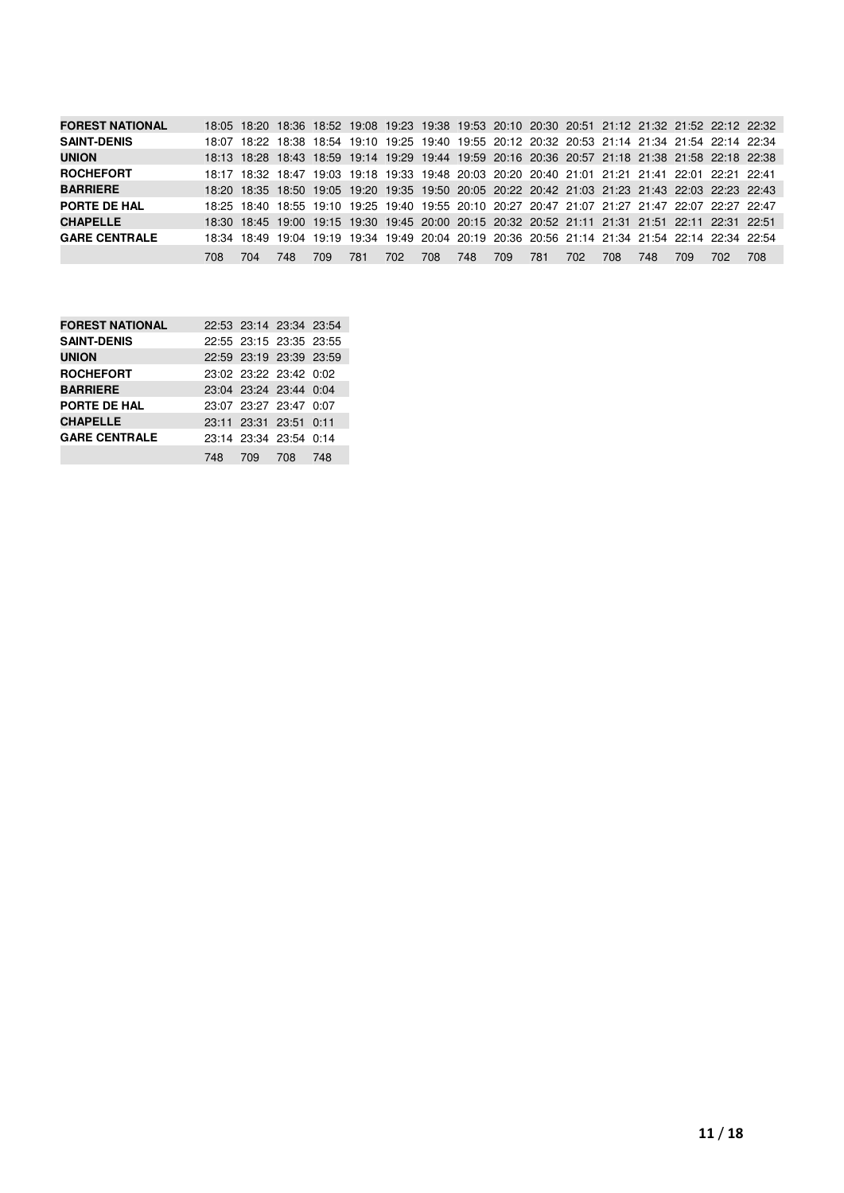| <b>FOREST NATIONAL</b> |       |     |      |      |     |      |     |     |     |     |     |     |     |      | 18:05 18:20 18:36 18:52 19:08 19:23 19:38 19:53 20:10 20:30 20:51 21:12 21:32 21:52 22:12 22:32 |     |
|------------------------|-------|-----|------|------|-----|------|-----|-----|-----|-----|-----|-----|-----|------|-------------------------------------------------------------------------------------------------|-----|
| <b>SAINT-DENIS</b>     | 18:07 |     |      |      |     |      |     |     |     |     |     |     |     |      | 18:22 18:38 18:54 19:10 19:25 19:40 19:55 20:12 20:32 20:53 21:14 21:34 21:54 22:14 22:34       |     |
| <b>UNION</b>           |       |     |      |      |     |      |     |     |     |     |     |     |     |      | 18:13 18:28 18:43 18:59 19:14 19:29 19:44 19:59 20:16 20:36 20:57 21:18 21:38 21:58 22:18 22:38 |     |
| <b>ROCHEFORT</b>       |       |     |      |      |     |      |     |     |     |     |     |     |     |      | 18:17 18:32 18:47 19:03 19:18 19:33 19:48 20:03 20:20 20:40 21:01 21:21 21:41 22:01 22:21 22:41 |     |
| <b>BARRIERE</b>        |       |     |      |      |     |      |     |     |     |     |     |     |     |      | 18:20 18:35 18:50 19:05 19:20 19:35 19:50 20:05 20:22 20:42 21:03 21:23 21:43 22:03 22:23 22:43 |     |
| PORTE DE HAL           |       |     |      |      |     |      |     |     |     |     |     |     |     |      | 18:25 18:40 18:55 19:10 19:25 19:40 19:55 20:10 20:27 20:47 21:07 21:27 21:47 22:07 22:27 22:47 |     |
| <b>CHAPELLE</b>        |       |     |      |      |     |      |     |     |     |     |     |     |     |      | 18:30 18:45 19:00 19:15 19:30 19:45 20:00 20:15 20:32 20:52 21:11 21:31 21:51 22:11 22:31 22:51 |     |
| <b>GARE CENTRALE</b>   |       |     |      |      |     |      |     |     |     |     |     |     |     |      | 18:34 18:49 19:04 19:19 19:34 19:49 20:04 20:19 20:36 20:56 21:14 21:34 21:54 22:14 22:34 22:54 |     |
|                        | 708   | 704 | 748. | 709. | 781 | 702. | 708 | 748 | 709 | 781 | 702 | 708 | 748 | 709. | 702.                                                                                            | 708 |

| <b>FOREST NATIONAL</b> | 22:53 23:14 23:34 23:54 |     |
|------------------------|-------------------------|-----|
| <b>SAINT-DENIS</b>     | 22:55 23:15 23:35 23:55 |     |
| <b>UNION</b>           | 22:59 23:19 23:39 23:59 |     |
| <b>ROCHEFORT</b>       | 23:02 23:22 23:42 0:02  |     |
| <b>BARRIERE</b>        | 23:04 23:24 23:44 0:04  |     |
| PORTE DE HAL           | 23:07 23:27 23:47 0:07  |     |
| <b>CHAPELLE</b>        | 23:11 23:31 23:51 0:11  |     |
| <b>GARE CENTRALE</b>   | 23:14 23:34 23:54 0:14  |     |
|                        | 748 709 708             | 748 |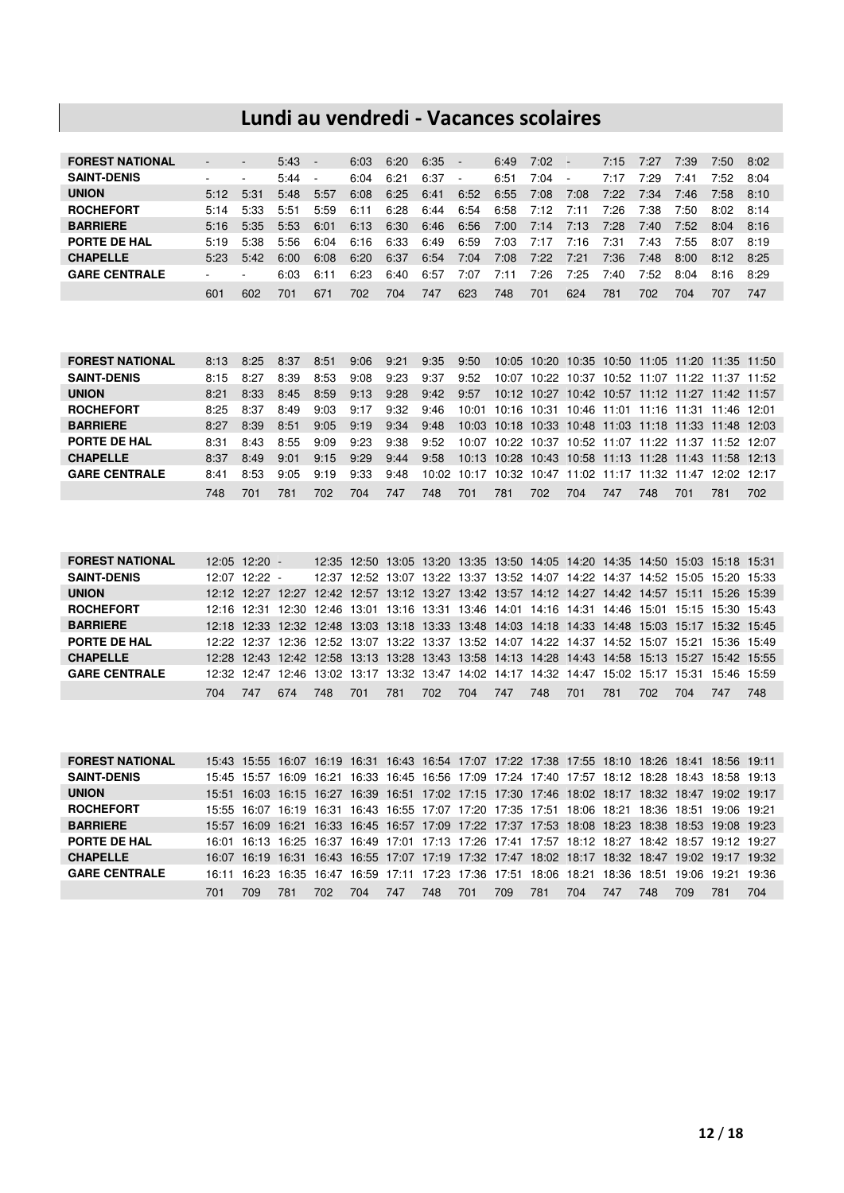## **Lundi au vendredi - Vacances scolaires**

| <b>FOREST NATIONAL</b> |      |                          | 5:43 | $\overline{\phantom{a}}$ | 6:03 | 6:20 | 6:35 | $\sim$ | 6:49 | 7:02 | u.   | 7:15 | 7:27 | 7:39 | 7:50 | 8:02 |
|------------------------|------|--------------------------|------|--------------------------|------|------|------|--------|------|------|------|------|------|------|------|------|
| <b>SAINT-DENIS</b>     |      | ۰                        | 5:44 | $\overline{\phantom{a}}$ | 6:04 | 6:21 | 6:37 | ۰.     | 6:51 | 7:04 |      | 7:17 | 7:29 | 7:41 | 7:52 | 8:04 |
| <b>UNION</b>           | 5:12 | 5:31                     | 5:48 | 5:57                     | 6:08 | 6:25 | 6:41 | 6:52   | 6:55 | 7:08 | 7:08 | 7:22 | 7:34 | 7:46 | 7:58 | 8:10 |
| <b>ROCHEFORT</b>       | 5:14 | 5:33                     | 5:51 | 5:59                     | 6:11 | 6:28 | 6:44 | 6:54   | 6:58 | 7:12 | 7:11 | 7:26 | 7:38 | 7:50 | 8:02 | 8:14 |
| <b>BARRIERE</b>        | 5:16 | 5:35                     | 5:53 | 6:01                     | 6:13 | 6:30 | 6:46 | 6:56   | 7:00 | 7:14 | 7:13 | 7:28 | 7:40 | 7:52 | 8:04 | 8:16 |
| PORTE DE HAL           | 5:19 | 5:38                     | 5:56 | 6:04                     | 6:16 | 6:33 | 6:49 | 6:59   | 7:03 | 7:17 | 7:16 | 7:31 | 7:43 | 7:55 | 8:07 | 8:19 |
| <b>CHAPELLE</b>        | 5:23 | 5:42                     | 6:00 | 6:08                     | 6:20 | 6:37 | 6:54 | 7:04   | 7:08 | 7:22 | 7:21 | 7:36 | 7:48 | 8:00 | 8:12 | 8:25 |
| <b>GARE CENTRALE</b>   |      | $\overline{\phantom{a}}$ | 6:03 | 6:11                     | 6:23 | 6:40 | 6:57 | 7:07   | 7:11 | 7:26 | 7:25 | 7:40 | 7:52 | 8:04 | 8:16 | 8:29 |
|                        | 601  | 602                      | 701  | 671                      | 702  | 704  | 747  | 623    | 748  | 701  | 624  | 781  | 702  | 704  | 707  | 747  |

| <b>FOREST NATIONAL</b> |      | $8:13$ $8:25$ | -8:37 | 8:51 | 9:06 | 9:21 | 9:35 | 9:50                                                        |       |     |     |     |                                                       |     |     | 10:05 10:20 10:35 10:50 11:05 11:20 11:35 11:50 |
|------------------------|------|---------------|-------|------|------|------|------|-------------------------------------------------------------|-------|-----|-----|-----|-------------------------------------------------------|-----|-----|-------------------------------------------------|
| <b>SAINT-DENIS</b>     | 8:15 | 8:27          | 8:39  | 8:53 | 9:08 | 9:23 | 9:37 | 9:52                                                        | 10:07 |     |     |     |                                                       |     |     | 10:22 10:37 10:52 11:07 11:22 11:37 11:52       |
| <b>UNION</b>           | 8.21 | 8:33          | 8:45  | 8:59 | 9:13 | 9:28 | 9:42 | 9:57                                                        |       |     |     |     | 10:12 10:27 10:42 10:57 11:12 11:27 11:42 11:57       |     |     |                                                 |
| <b>ROCHEFORT</b>       | 8.25 | 8:37          | 8:49  | 9:03 | 9:17 | 9:32 | 9:46 |                                                             |       |     |     |     | 10:01 10:16 10:31 10:46 11:01 11:16 11:31 11:46 12:01 |     |     |                                                 |
| <b>BARRIERE</b>        | 8:27 | 8:39          | 8:51  | 9:05 | 9:19 | 9:34 | 9:48 |                                                             |       |     |     |     | 10:03 10:18 10:33 10:48 11:03 11:18 11:33 11:48 12:03 |     |     |                                                 |
| PORTE DE HAL           | 8:31 | 8:43          | 8:55  | 9:09 | 9:23 | 9:38 | 9:52 |                                                             |       |     |     |     | 10:07 10:22 10:37 10:52 11:07 11:22 11:37 11:52 12:07 |     |     |                                                 |
| <b>CHAPELLE</b>        | 8.37 | 8.49          | 901   | 9:15 | 9:29 | 9:44 | 9:58 |                                                             |       |     |     |     | 10:13 10:28 10:43 10:58 11:13 11:28 11:43 11:58 12:13 |     |     |                                                 |
| <b>GARE CENTRALE</b>   | 8:41 | 8:53          | 9:05  | 9:19 | 9:33 | 9:48 |      | 10:02 10:17 10:32 10:47 11:02 11:17 11:32 11:47 12:02 12:17 |       |     |     |     |                                                       |     |     |                                                 |
|                        | 748  | 701           | 781   | 702  | 704  | 747  | 748  | 701                                                         | 781   | 702 | 704 | 747 | 748                                                   | 701 | 781 | 702                                             |

| <b>FOREST NATIONAL</b> |       | $12:05$ 12:20 - |     |      |     |     |     |     |     |     |     |     |     |     | 12:35 12:50 13:05 13:20 13:35 13:50 14:05 14:20 14:35 14:50 15:03 15:18 15:31                   |     |
|------------------------|-------|-----------------|-----|------|-----|-----|-----|-----|-----|-----|-----|-----|-----|-----|-------------------------------------------------------------------------------------------------|-----|
| <b>SAINT-DENIS</b>     | 12.07 | $12:22 -$       |     |      |     |     |     |     |     |     |     |     |     |     | 12:37 12:52 13:07 13:22 13:37 13:52 14:07 14:22 14:37 14:52 15:05 15:20 15:33                   |     |
| <b>UNION</b>           |       |                 |     |      |     |     |     |     |     |     |     |     |     |     | 12:12 12:27 12:27 12:42 12:57 13:12 13:27 13:42 13:57 14:12 14:27 14:42 14:57 15:11 15:26 15:39 |     |
| <b>ROCHEFORT</b>       |       |                 |     |      |     |     |     |     |     |     |     |     |     |     | 12:16 12:31 12:30 12:46 13:01 13:16 13:31 13:46 14:01 14:16 14:31 14:46 15:01 15:15 15:30 15:43 |     |
| <b>BARRIERE</b>        |       |                 |     |      |     |     |     |     |     |     |     |     |     |     | 12:18 12:33 12:32 12:48 13:03 13:18 13:33 13:48 14:03 14:18 14:33 14:48 15:03 15:17 15:32 15:45 |     |
| <b>PORTE DE HAL</b>    |       |                 |     |      |     |     |     |     |     |     |     |     |     |     | 12:22 12:37 12:36 12:52 13:07 13:22 13:37 13:52 14:07 14:22 14:37 14:52 15:07 15:21 15:36 15:49 |     |
| <b>CHAPELLE</b>        |       |                 |     |      |     |     |     |     |     |     |     |     |     |     | 12:28 12:43 12:42 12:58 13:13 13:28 13:43 13:58 14:13 14:28 14:43 14:58 15:13 15:27 15:42 15:55 |     |
| <b>GARE CENTRALE</b>   |       |                 |     |      |     |     |     |     |     |     |     |     |     |     | 12:32 12:47 12:46 13:02 13:17 13:32 13:47 14:02 14:17 14:32 14:47 15:02 15:17 15:31 15:46 15:59 |     |
|                        | 704   | (4)             | 674 | 748. | 701 | 781 | 702 | 704 | 747 | 748 | 701 | 781 | 702 | 704 | 747                                                                                             | 748 |

| <b>FOREST NATIONAL</b> |       | 15:43 15:55 16:07 16:19 16:31 16:43 16:54 17:07 17:22 17:38 17:55 18:10 18:26 18:41 18:56 19:11 |                         |       |     |                                                                         |     |                         |     |       |     |                   |     |     |                   |                                                                                           |
|------------------------|-------|-------------------------------------------------------------------------------------------------|-------------------------|-------|-----|-------------------------------------------------------------------------|-----|-------------------------|-----|-------|-----|-------------------|-----|-----|-------------------|-------------------------------------------------------------------------------------------|
| <b>SAINT-DENIS</b>     |       | 15:45 15:57                                                                                     | 16:09                   | 16:21 |     | 16:33 16:45 16:56 17:09 17:24 17:40 17:57 18:12 18:28 18:43 18:58 19:13 |     |                         |     |       |     |                   |     |     |                   |                                                                                           |
| <b>UNION</b>           |       | 15:51 16:03 16:15 16:27 16:39 16:51 17:02 17:15 17:30 17:46 18:02 18:17 18:32 18:47 19:02 19:17 |                         |       |     |                                                                         |     |                         |     |       |     |                   |     |     |                   |                                                                                           |
| <b>ROCHEFORT</b>       |       | 15:55 16:07 16:19 16:31 16:43 16:55 17:07 17:20 17:35 17:51 18:06 18:21 18:36 18:51 19:06 19:21 |                         |       |     |                                                                         |     |                         |     |       |     |                   |     |     |                   |                                                                                           |
| <b>BARRIERE</b>        |       | 15:57 16:09 16:21 16:33 16:45 16:57 17:09 17:22 17:37 17:53 18:08 18:23 18:38 18:53 19:08 19:23 |                         |       |     |                                                                         |     |                         |     |       |     |                   |     |     |                   |                                                                                           |
| <b>PORTE DE HAL</b>    |       | 16:01 16:13 16:25 16:37 16:49 17:01 17:13 17:26 17:41 17:57 18:12 18:27 18:42 18:57 19:12 19:27 |                         |       |     |                                                                         |     |                         |     |       |     |                   |     |     |                   |                                                                                           |
| <b>CHAPELLE</b>        | 16:07 |                                                                                                 |                         |       |     |                                                                         |     |                         |     |       |     |                   |     |     |                   | 16:19 16:31 16:43 16:55 17:07 17:19 17:32 17:47 18:02 18:17 18:32 18:47 19:02 19:17 19:32 |
| <b>GARE CENTRALE</b>   | 16:11 |                                                                                                 | 16:23 16:35 16:47 16:59 |       |     |                                                                         |     | 17:11 17:23 17:36 17:51 |     | 18:06 |     | 18:21 18:36 18:51 |     |     | 19:06 19:21 19:36 |                                                                                           |
|                        | 701   | 709                                                                                             | 781                     | 702.  | 704 | 747                                                                     | 748 | 701                     | 709 | 781   | 704 | 747               | 748 | 709 | 781               | 704                                                                                       |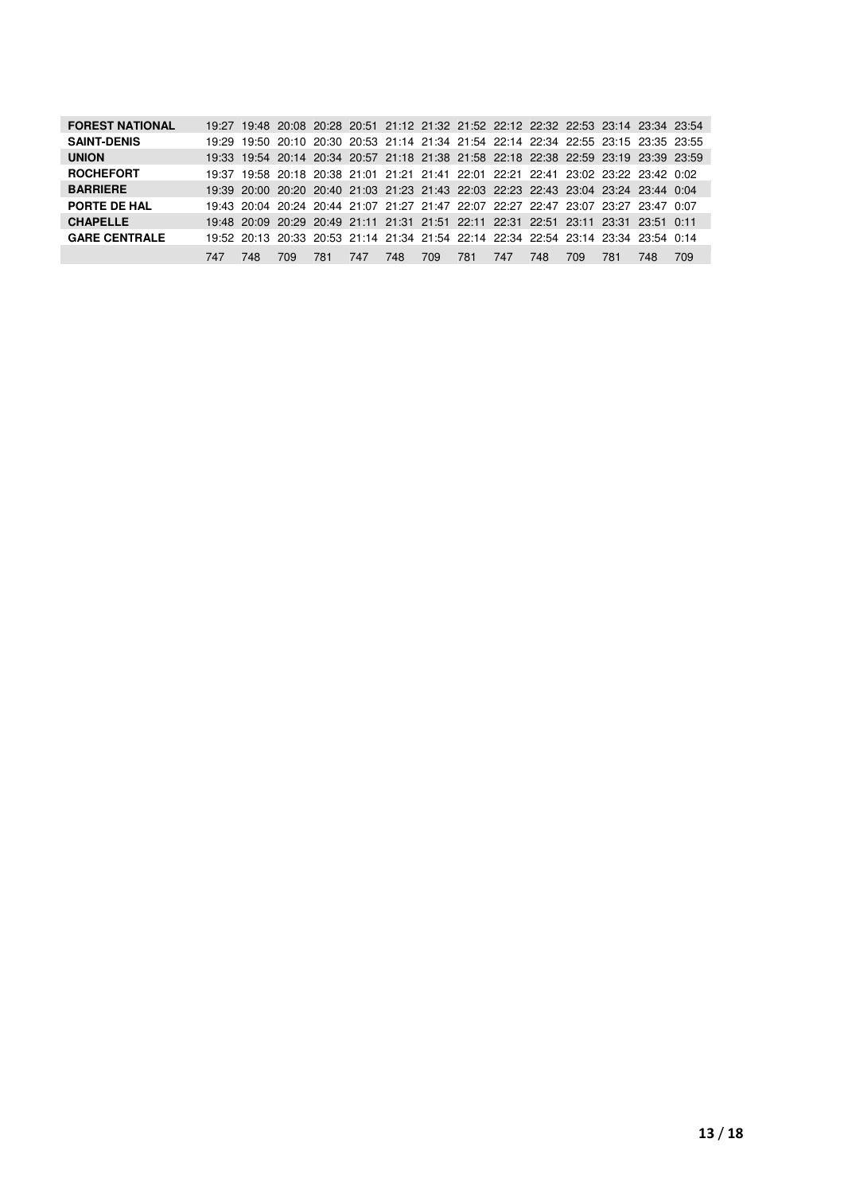| <b>FOREST NATIONAL</b> |     |     |     |     |     |     |     |     |     |     |     |     | 19:27 19:48 20:08 20:28 20:51 21:12 21:32 21:52 22:12 22:32 22:53 23:14 23:34 23:54 |     |
|------------------------|-----|-----|-----|-----|-----|-----|-----|-----|-----|-----|-----|-----|-------------------------------------------------------------------------------------|-----|
| <b>SAINT-DENIS</b>     |     |     |     |     |     |     |     |     |     |     |     |     | 19:29 19:50 20:10 20:30 20:53 21:14 21:34 21:54 22:14 22:34 22:55 23:15 23:35 23:55 |     |
| <b>UNION</b>           |     |     |     |     |     |     |     |     |     |     |     |     | 19:33 19:54 20:14 20:34 20:57 21:18 21:38 21:58 22:18 22:38 22:59 23:19 23:39 23:59 |     |
| <b>ROCHEFORT</b>       |     |     |     |     |     |     |     |     |     |     |     |     | 19:37 19:58 20:18 20:38 21:01 21:21 21:41 22:01 22:21 22:41 23:02 23:22 23:42 0:02  |     |
| <b>BARRIERE</b>        |     |     |     |     |     |     |     |     |     |     |     |     | 19:39 20:00 20:20 20:40 21:03 21:23 21:43 22:03 22:23 22:43 23:04 23:24 23:44 0:04  |     |
| PORTE DE HAL           |     |     |     |     |     |     |     |     |     |     |     |     | 19:43 20:04 20:24 20:44 21:07 21:27 21:47 22:07 22:27 22:47 23:07 23:27 23:47 0:07  |     |
| <b>CHAPELLE</b>        |     |     |     |     |     |     |     |     |     |     |     |     | 19:48 20:09 20:29 20:49 21:11 21:31 21:51 22:11 22:31 22:51 23:11 23:31 23:51 0:11  |     |
| <b>GARE CENTRALE</b>   |     |     |     |     |     |     |     |     |     |     |     |     | 19:52 20:13 20:33 20:53 21:14 21:34 21:54 22:14 22:34 22:54 23:14 23:34 23:54 0:14  |     |
|                        | 747 | 748 | 709 | 781 | 747 | 748 | 709 | 781 | 747 | 748 | 709 | 781 | 748                                                                                 | 709 |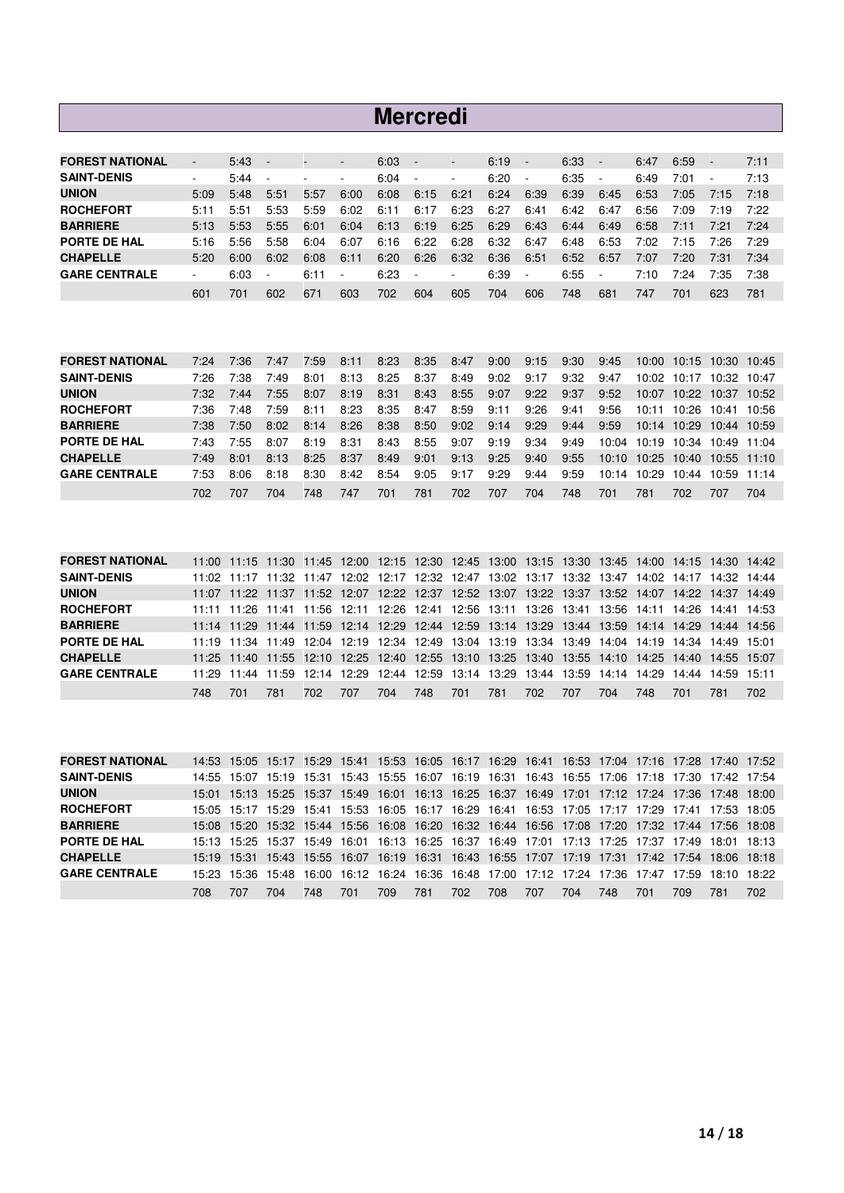#### **Mercredi**

| <b>FOREST NATIONAL</b> | $\overline{\phantom{a}}$ | 5:43 | $\sim$                   | $\overline{\phantom{a}}$ | $\overline{\phantom{a}}$ | 6:03 | $\sim$                   | ٠                        | 6:19 | $\overline{\phantom{a}}$ | 6:33 | $\overline{\phantom{a}}$ | 6:47 | 6:59 | $\overline{\phantom{a}}$ | 7:11 |
|------------------------|--------------------------|------|--------------------------|--------------------------|--------------------------|------|--------------------------|--------------------------|------|--------------------------|------|--------------------------|------|------|--------------------------|------|
| <b>SAINT-DENIS</b>     |                          | 5:44 | $\overline{\phantom{a}}$ | $\overline{\phantom{a}}$ | ۰                        | 6:04 | $\sim$                   | ۰                        | 6:20 | $\blacksquare$           | 6:35 | ٠                        | 6:49 | 7:01 | ٠                        | 7:13 |
| <b>UNION</b>           | 5:09                     | 5:48 | 5:51                     | 5:57                     | 6:00                     | 6:08 | 6:15                     | 6:21                     | 6:24 | 6:39                     | 6:39 | 6:45                     | 6:53 | 7:05 | 7:15                     | 7:18 |
| <b>ROCHEFORT</b>       | 5:11                     | 5:51 | 5:53                     | 5:59                     | 6:02                     | 6:11 | 6:17                     | 6:23                     | 6:27 | 6:41                     | 6:42 | 6:47                     | 6:56 | 7:09 | 7:19                     | 7:22 |
| <b>BARRIERE</b>        | 5:13                     | 5:53 | 5:55                     | 6:01                     | 6:04                     | 6:13 | 6:19                     | 6:25                     | 6:29 | 6:43                     | 6:44 | 6:49                     | 6:58 | 7:11 | 7:21                     | 7:24 |
| PORTE DE HAL           | 5:16                     | 5:56 | 5:58                     | 6:04                     | 6:07                     | 6:16 | 6:22                     | 6:28                     | 6:32 | 6:47                     | 6:48 | 6:53                     | 7:02 | 7:15 | 7:26                     | 7:29 |
| <b>CHAPELLE</b>        | 5:20                     | 6:00 | 6:02                     | 6:08                     | 6:11                     | 6:20 | 6:26                     | 6:32                     | 6:36 | 6:51                     | 6:52 | 6:57                     | 7:07 | 7:20 | 7:31                     | 7:34 |
| <b>GARE CENTRALE</b>   |                          | 6:03 |                          | 6:11                     | ٠                        | 6:23 | $\overline{\phantom{a}}$ | $\overline{\phantom{a}}$ | 6:39 | $\overline{\phantom{a}}$ | 6:55 | $\overline{\phantom{a}}$ | 7:10 | 7:24 | 7:35                     | 7:38 |
|                        | 601                      | 701  | 602                      | 671                      | 603                      | 702  | 604                      | 605                      | 704  | 606                      | 748  | 681                      | 747  | 701  | 623                      | 781  |

| <b>FOREST NATIONAL</b> | 7.24 | 7:36 | 7:47 | 7:59 | 8:11 | 8:23 | 8:35 | 8:47 | 9:00 | 9:15 | 9:30 | 9:45  | 10:00 |                               | 10:15 10:30 10:45 |             |
|------------------------|------|------|------|------|------|------|------|------|------|------|------|-------|-------|-------------------------------|-------------------|-------------|
| <b>SAINT-DENIS</b>     | 7:26 | 7:38 | 7:49 | 8:01 | 8:13 | 8:25 | 8:37 | 8:49 | 9:02 | 9:17 | 9:32 | 9:47  | 10:02 | 10:17                         | 10:32 10:47       |             |
| <b>UNION</b>           | 7:32 | 7:44 | 7:55 | 8:07 | 8:19 | 8:31 | 8:43 | 8:55 | 9:07 | 9:22 | 9:37 | 9:52  | 10:07 | 10:22                         |                   | 10:37 10:52 |
| <b>ROCHEFORT</b>       | 7:36 | 7:48 | 7:59 | 8:11 | 8:23 | 8:35 | 8:47 | 8:59 | 9:11 | 9:26 | 9:41 | 9:56  | 10:11 |                               | 10:26 10:41 10:56 |             |
| <b>BARRIERE</b>        | 7:38 | 7:50 | 8:02 | 8:14 | 8:26 | 8:38 | 8:50 | 9:02 | 9:14 | 9:29 | 9:44 | 9:59  | 10:14 | 10:29                         | 10:44 10:59       |             |
| PORTE DE HAL           | 7:43 | 7:55 | 8:07 | 8:19 | 8:31 | 8:43 | 8:55 | 9:07 | 9:19 | 9:34 | 9:49 | 10:04 | 10:19 |                               | 10:34 10:49 11:04 |             |
| <b>CHAPELLE</b>        | 7:49 | 8:01 | 8:13 | 8:25 | 8:37 | 8:49 | 9:01 | 9:13 | 9:25 | 9:40 | 9:55 |       |       | 10:10 10:25 10:40 10:55 11:10 |                   |             |
| <b>GARE CENTRALE</b>   | 7:53 | 8:06 | 8:18 | 8:30 | 8:42 | 8:54 | 9:05 | 9:17 | 9:29 | 9:44 | 9:59 | 10:14 | 10:29 | 10:44                         |                   | 10:59 11:14 |
|                        | 702  | 707  | 704  | 748  | 747  | 701  | 781  | 702  | 707  | 704  | 748  | 701   | 781   | 702                           | 707               | 704         |

| <b>FOREST NATIONAL</b> |     | 11:00 11:15 11:30 11:45 12:00 12:15 12:30 12:45 13:00 13:15 13:30 13:45 14:00 14:15 14:30 14:42 |     |      |     |     |     |     |     |     |     |     |     |     |     |     |
|------------------------|-----|-------------------------------------------------------------------------------------------------|-----|------|-----|-----|-----|-----|-----|-----|-----|-----|-----|-----|-----|-----|
| <b>SAINT-DENIS</b>     |     | 11:02 11:17 11:32 11:47 12:02 12:17 12:32 12:47 13:02 13:17 13:32 13:47 14:02 14:17 14:32 14:44 |     |      |     |     |     |     |     |     |     |     |     |     |     |     |
| <b>UNION</b>           |     | 11:07 11:22 11:37 11:52 12:07 12:22 12:37 12:52 13:07 13:22 13:37 13:52 14:07 14:22 14:37 14:49 |     |      |     |     |     |     |     |     |     |     |     |     |     |     |
| <b>ROCHEFORT</b>       |     | 11:11 11:26 11:41 11:56 12:11 12:26 12:41 12:56 13:11 13:26 13:41 13:56 14:11 14:26 14:41 14:53 |     |      |     |     |     |     |     |     |     |     |     |     |     |     |
| <b>BARRIERE</b>        |     | 11:14 11:29 11:44 11:59 12:14 12:29 12:44 12:59 13:14 13:29 13:44 13:59 14:14 14:29 14:44 14:56 |     |      |     |     |     |     |     |     |     |     |     |     |     |     |
| PORTE DE HAL           |     | 11:19 11:34 11:49 12:04 12:19 12:34 12:49 13:04 13:19 13:34 13:49 14:04 14:19 14:34 14:49 15:01 |     |      |     |     |     |     |     |     |     |     |     |     |     |     |
| <b>CHAPELLE</b>        |     | 11:25 11:40 11:55 12:10 12:25 12:40 12:55 13:10 13:25 13:40 13:55 14:10 14:25 14:40 14:55 15:07 |     |      |     |     |     |     |     |     |     |     |     |     |     |     |
| <b>GARE CENTRALE</b>   |     | 11:29 11:44 11:59 12:14 12:29 12:44 12:59 13:14 13:29 13:44 13:59 14:14 14:29 14:44 14:59 15:11 |     |      |     |     |     |     |     |     |     |     |     |     |     |     |
|                        | 748 | 701                                                                                             | 781 | 702. | 707 | 704 | 748 | 701 | 781 | 702 | 707 | 704 | 748 | 701 | 781 | 702 |

| <b>FOREST NATIONAL</b> |     |                                           |     |     |     |     |     |     | 14:53 15:05 15:17 15:29 15:41 15:53 16:05 16:17 16:29 16:41 16:53 17:04 |     |     |     |     |     | 17:16 17:28 17:40 17:52                                                                         |     |
|------------------------|-----|-------------------------------------------|-----|-----|-----|-----|-----|-----|-------------------------------------------------------------------------|-----|-----|-----|-----|-----|-------------------------------------------------------------------------------------------------|-----|
| <b>SAINT-DENIS</b>     |     | 14:55 15:07 15:19 15:31 15:43 15:55 16:07 |     |     |     |     |     |     |                                                                         |     |     |     |     |     | 16:19 16:31 16:43 16:55 17:06 17:18 17:30 17:42 17:54                                           |     |
| <b>UNION</b>           |     |                                           |     |     |     |     |     |     |                                                                         |     |     |     |     |     | 15:01 15:13 15:25 15:37 15:49 16:01 16:13 16:25 16:37 16:49 17:01 17:12 17:24 17:36 17:48 18:00 |     |
| <b>ROCHEFORT</b>       |     |                                           |     |     |     |     |     |     |                                                                         |     |     |     |     |     | 15:05 15:17 15:29 15:41 15:53 16:05 16:17 16:29 16:41 16:53 17:05 17:17 17:29 17:41 17:53 18:05 |     |
| <b>BARRIERE</b>        |     |                                           |     |     |     |     |     |     |                                                                         |     |     |     |     |     | 15:08 15:20 15:32 15:44 15:56 16:08 16:20 16:32 16:44 16:56 17:08 17:20 17:32 17:44 17:56 18:08 |     |
| PORTE DE HAL           |     |                                           |     |     |     |     |     |     |                                                                         |     |     |     |     |     | 15:13 15:25 15:37 15:49 16:01 16:13 16:25 16:37 16:49 17:01 17:13 17:25 17:37 17:49 18:01 18:13 |     |
| <b>CHAPELLE</b>        |     |                                           |     |     |     |     |     |     |                                                                         |     |     |     |     |     | 15:19 15:31 15:43 15:55 16:07 16:19 16:31 16:43 16:55 17:07 17:19 17:31 17:42 17:54 18:06 18:18 |     |
| <b>GARE CENTRALE</b>   |     |                                           |     |     |     |     |     |     |                                                                         |     |     |     |     |     | 15:23 15:36 15:48 16:00 16:12 16:24 16:36 16:48 17:00 17:12 17:24 17:36 17:47 17:59 18:10 18:22 |     |
|                        | 708 | 707                                       | 704 | 748 | 701 | 709 | 781 | 702 | 708                                                                     | 707 | 704 | 748 | 701 | 709 | 781                                                                                             | 702 |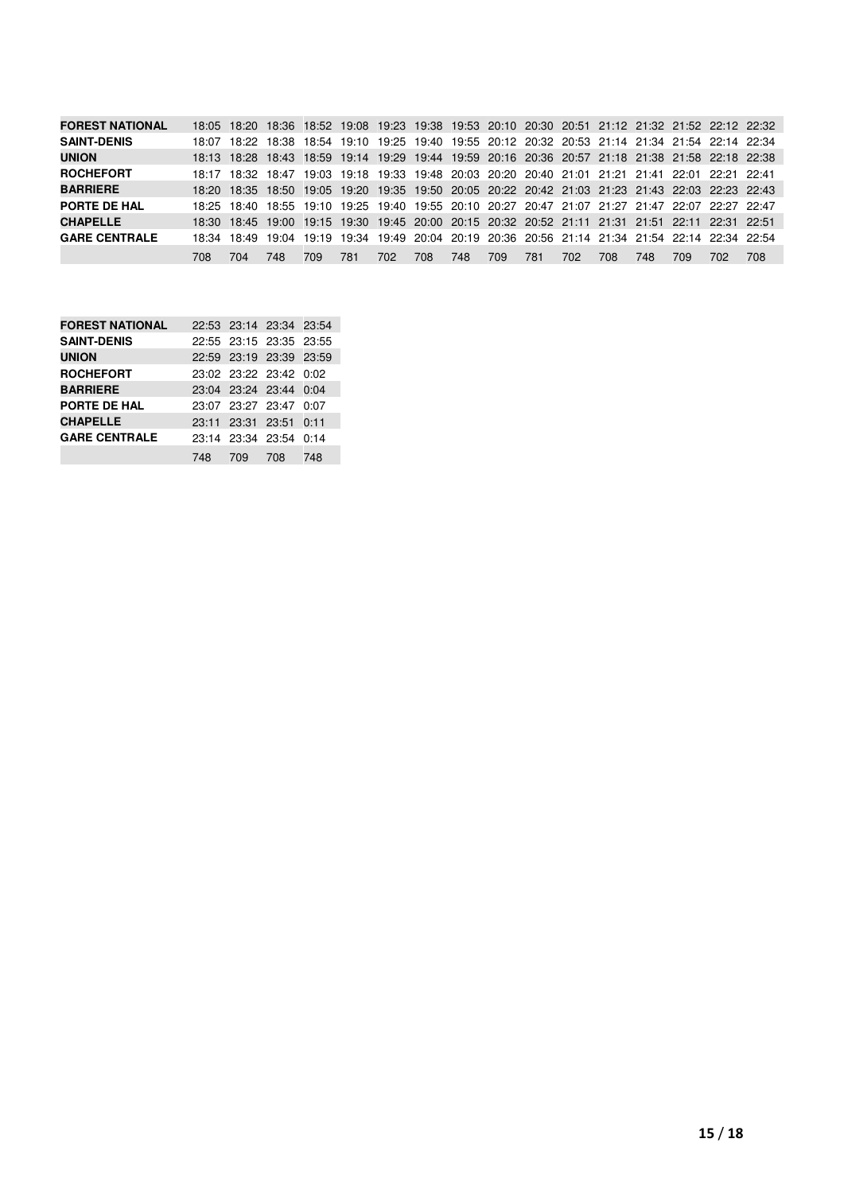| <b>FOREST NATIONAL</b> |       |     |      |     |     |      |     |     |     |     |     |     |      |     | 18:05 18:20 18:36 18:52 19:08 19:23 19:38 19:53 20:10 20:30 20:51 21:12 21:32 21:52 22:12 22:32 |     |
|------------------------|-------|-----|------|-----|-----|------|-----|-----|-----|-----|-----|-----|------|-----|-------------------------------------------------------------------------------------------------|-----|
| <b>SAINT-DENIS</b>     | 18:07 |     |      |     |     |      |     |     |     |     |     |     |      |     | 18:22 18:38 18:54 19:10 19:25 19:40 19:55 20:12 20:32 20:53 21:14 21:34 21:54 22:14 22:34       |     |
| <b>UNION</b>           |       |     |      |     |     |      |     |     |     |     |     |     |      |     | 18:13 18:28 18:43 18:59 19:14 19:29 19:44 19:59 20:16 20:36 20:57 21:18 21:38 21:58 22:18 22:38 |     |
| <b>ROCHEFORT</b>       |       |     |      |     |     |      |     |     |     |     |     |     |      |     | 18:17 18:32 18:47 19:03 19:18 19:33 19:48 20:03 20:20 20:40 21:01 21:21 21:41 22:01 22:21 22:41 |     |
| <b>BARRIERE</b>        |       |     |      |     |     |      |     |     |     |     |     |     |      |     | 18:20 18:35 18:50 19:05 19:20 19:35 19:50 20:05 20:22 20:42 21:03 21:23 21:43 22:03 22:23 22:43 |     |
| PORTE DE HAL           |       |     |      |     |     |      |     |     |     |     |     |     |      |     | 18:25 18:40 18:55 19:10 19:25 19:40 19:55 20:10 20:27 20:47 21:07 21:27 21:47 22:07 22:27 22:47 |     |
| <b>CHAPELLE</b>        |       |     |      |     |     |      |     |     |     |     |     |     |      |     | 18:30 18:45 19:00 19:15 19:30 19:45 20:00 20:15 20:32 20:52 21:11 21:31 21:51 22:11 22:31 22:51 |     |
| <b>GARE CENTRALE</b>   |       |     |      |     |     |      |     |     |     |     |     |     |      |     | 18:34 18:49 19:04 19:19 19:34 19:49 20:04 20:19 20:36 20:56 21:14 21:34 21:54 22:14 22:34 22:54 |     |
|                        | 708.  | 704 | 748. | 709 | 781 | 702. | 708 | 748 | 709 | 781 | 702 | 708 | 748. | 709 | 702                                                                                             | 708 |

| <b>FOREST NATIONAL</b> |     |         | 22:53 23:14 23:34 23:54 |     |
|------------------------|-----|---------|-------------------------|-----|
| <b>SAINT-DENIS</b>     |     |         | 22:55 23:15 23:35 23:55 |     |
| <b>UNION</b>           |     |         | 22:59 23:19 23:39 23:59 |     |
| <b>ROCHEFORT</b>       |     |         | 23:02 23:22 23:42 0:02  |     |
| <b>BARRIERE</b>        |     |         | 23:04 23:24 23:44 0:04  |     |
| PORTE DE HAL           |     |         | 23:07 23:27 23:47 0:07  |     |
| <b>CHAPELLE</b>        |     |         | 23:11 23:31 23:51 0:11  |     |
| <b>GARE CENTRALE</b>   |     |         | 23:14 23:34 23:54 0:14  |     |
|                        | 748 | 709 708 |                         | 748 |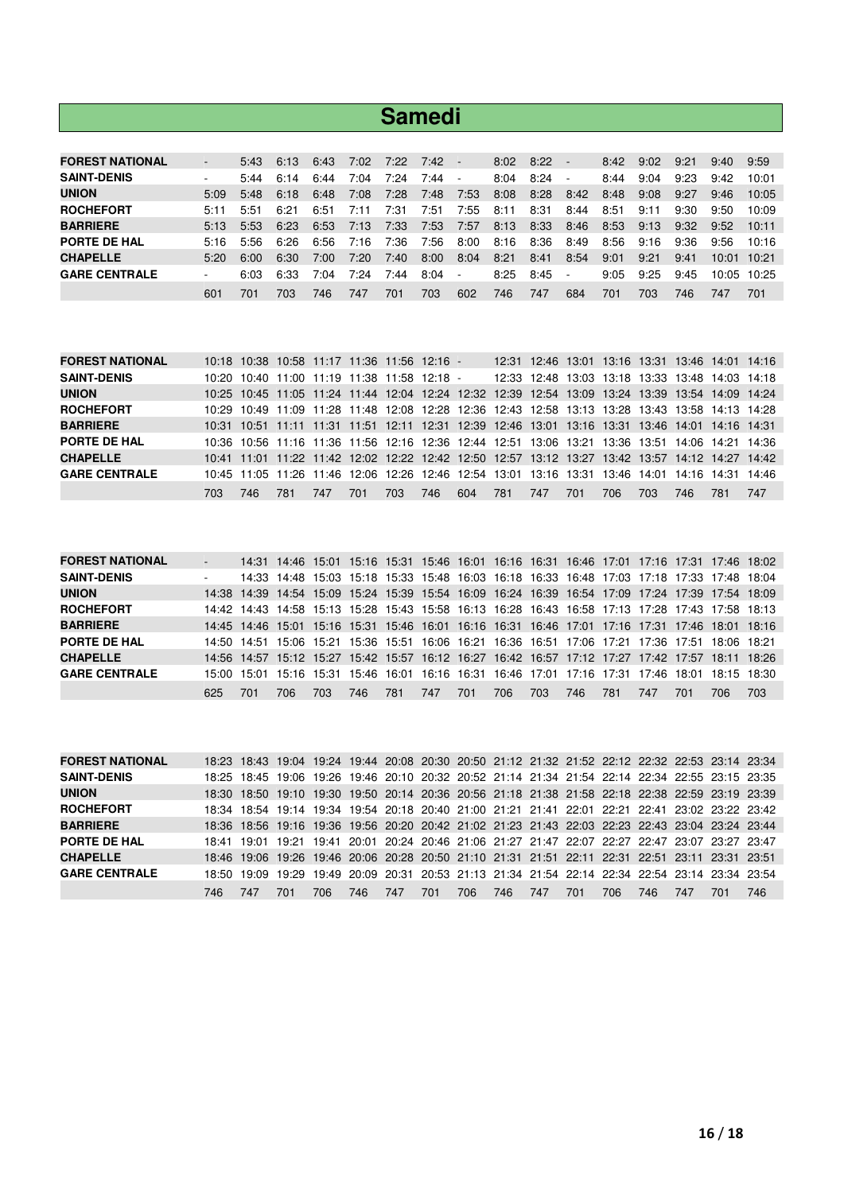|                        |                          |      |      |      |      | <b>Samedi</b> |      |                          |      |      |      |      |      |      |       |             |
|------------------------|--------------------------|------|------|------|------|---------------|------|--------------------------|------|------|------|------|------|------|-------|-------------|
|                        |                          |      |      |      |      |               |      |                          |      |      |      |      |      |      |       |             |
| <b>FOREST NATIONAL</b> | $\overline{\phantom{0}}$ | 5:43 | 6:13 | 6:43 | 7:02 | 7:22          | 7:42 | $\overline{\phantom{a}}$ | 8:02 | 8:22 |      | 8:42 | 9:02 | 9:21 | 9:40  | 9:59        |
| <b>SAINT-DENIS</b>     | ٠                        | 5:44 | 6:14 | 6:44 | 7:04 | 7:24          | 7:44 | $\overline{\phantom{a}}$ | 8:04 | 8:24 |      | 8:44 | 9:04 | 9:23 | 9:42  | 10:01       |
| <b>UNION</b>           | 5:09                     | 5:48 | 6:18 | 6:48 | 7:08 | 7:28          | 7:48 | 7:53                     | 8:08 | 8:28 | 8:42 | 8:48 | 9:08 | 9:27 | 9:46  | 10:05       |
| <b>ROCHEFORT</b>       | 5:11                     | 5:51 | 6:21 | 6:51 | 7:11 | 7:31          | 7:51 | 7:55                     | 8:11 | 8:31 | 8:44 | 8:51 | 9:11 | 9:30 | 9:50  | 10:09       |
| <b>BARRIERE</b>        | 5:13                     | 5:53 | 6:23 | 6:53 | 7:13 | 7:33          | 7:53 | 7:57                     | 8:13 | 8:33 | 8:46 | 8:53 | 9:13 | 9:32 | 9:52  | 10:11       |
| PORTE DE HAL           | 5:16                     | 5:56 | 6:26 | 6:56 | 7:16 | 7:36          | 7:56 | 8:00                     | 8:16 | 8:36 | 8:49 | 8:56 | 9:16 | 9:36 | 9:56  | 10:16       |
| <b>CHAPELLE</b>        | 5:20                     | 6:00 | 6:30 | 7:00 | 7:20 | 7:40          | 8:00 | 8:04                     | 8:21 | 8:41 | 8:54 | 9:01 | 9:21 | 9:41 | 10:01 | 10:21       |
| <b>GARE CENTRALE</b>   | ٠                        | 6:03 | 6:33 | 7:04 | 7:24 | 7:44          | 8:04 | $\overline{\phantom{a}}$ | 8:25 | 8:45 | ٠    | 9:05 | 9:25 | 9:45 |       | 10:05 10:25 |
|                        | 601                      | 701  | 703  | 746  | 747  | 701           | 703  | 602                      | 746  | 747  | 684  | 701  | 703  | 746  | 747   | 701         |

| <b>FOREST NATIONAL</b> |     |      |     |     | 10:18 10:38 10:58 11:17 11:36 11:56 12:16 - |      |     |     |     |     |     |     |     |     | 12:31 12:46 13:01 13:16 13:31 13:46 14:01 14:16                                                 |     |
|------------------------|-----|------|-----|-----|---------------------------------------------|------|-----|-----|-----|-----|-----|-----|-----|-----|-------------------------------------------------------------------------------------------------|-----|
| <b>SAINT-DENIS</b>     |     |      |     |     | 10:20 10:40 11:00 11:19 11:38 11:58 12:18 - |      |     |     |     |     |     |     |     |     | 12:33 12:48 13:03 13:18 13:33 13:48 14:03 14:18                                                 |     |
| <b>UNION</b>           |     |      |     |     |                                             |      |     |     |     |     |     |     |     |     | 10:25 10:45 11:05 11:24 11:44 12:04 12:24 12:32 12:39 12:54 13:09 13:24 13:39 13:54 14:09 14:24 |     |
| <b>ROCHEFORT</b>       |     |      |     |     |                                             |      |     |     |     |     |     |     |     |     | 10:29 10:49 11:09 11:28 11:48 12:08 12:28 12:36 12:43 12:58 13:13 13:28 13:43 13:58 14:13 14:28 |     |
| <b>BARRIERE</b>        |     |      |     |     |                                             |      |     |     |     |     |     |     |     |     | 10:31 10:51 11:11 11:31 11:51 12:11 12:31 12:39 12:46 13:01 13:16 13:31 13:46 14:01 14:16 14:31 |     |
| PORTE DE HAL           |     |      |     |     |                                             |      |     |     |     |     |     |     |     |     | 10:36 10:56 11:16 11:36 11:56 12:16 12:36 12:44 12:51 13:06 13:21 13:36 13:51 14:06 14:21 14:36 |     |
| <b>CHAPELLE</b>        |     |      |     |     |                                             |      |     |     |     |     |     |     |     |     | 10:41 11:01 11:22 11:42 12:02 12:22 12:42 12:50 12:57 13:12 13:27 13:42 13:57 14:12 14:27 14:42 |     |
| <b>GARE CENTRALE</b>   |     |      |     |     |                                             |      |     |     |     |     |     |     |     |     | 10:45 11:05 11:26 11:46 12:06 12:26 12:46 12:54 13:01 13:16 13:31 13:46 14:01 14:16 14:31 14:46 |     |
|                        | 703 | 746. | 781 | 747 | 701                                         | 703. | 746 | 604 | 781 | 747 | 701 | 706 | 703 | 746 | 781                                                                                             | 747 |

| <b>FOREST NATIONAL</b> | $\overline{\phantom{a}}$ |     |      |      |     |     |     |     |     |     |      |     |     |     | 14:31 14:46 15:01 15:16 15:31 15:46 16:01 16:16 16:31 16:46 17:01 17:16 17:31 17:46 18:02       |     |
|------------------------|--------------------------|-----|------|------|-----|-----|-----|-----|-----|-----|------|-----|-----|-----|-------------------------------------------------------------------------------------------------|-----|
| <b>SAINT-DENIS</b>     |                          |     |      |      |     |     |     |     |     |     |      |     |     |     | 14:33 14:48 15:03 15:18 15:33 15:48 16:03 16:18 16:33 16:48 17:03 17:18 17:33 17:48 18:04       |     |
| <b>UNION</b>           |                          |     |      |      |     |     |     |     |     |     |      |     |     |     | 14:38 14:39 14:54 15:09 15:24 15:39 15:54 16:09 16:24 16:39 16:54 17:09 17:24 17:39 17:54 18:09 |     |
| <b>ROCHEFORT</b>       |                          |     |      |      |     |     |     |     |     |     |      |     |     |     | 14:42 14:43 14:58 15:13 15:28 15:43 15:58 16:13 16:28 16:43 16:58 17:13 17:28 17:43 17:58 18:13 |     |
| <b>BARRIERE</b>        |                          |     |      |      |     |     |     |     |     |     |      |     |     |     | 14:45 14:46 15:01 15:16 15:31 15:46 16:01 16:16 16:31 16:46 17:01 17:16 17:31 17:46 18:01 18:16 |     |
| PORTE DE HAL           |                          |     |      |      |     |     |     |     |     |     |      |     |     |     | 14:50 14:51 15:06 15:21 15:36 15:51 16:06 16:21 16:36 16:51 17:06 17:21 17:36 17:51 18:06 18:21 |     |
| <b>CHAPELLE</b>        |                          |     |      |      |     |     |     |     |     |     |      |     |     |     | 14.56 14:57 15:12 15:27 15:42 15:57 16:12 16:27 16:42 16:57 17:12 17:27 17:42 17:57 18:11 18:26 |     |
| <b>GARE CENTRALE</b>   | 15:00                    |     |      |      |     |     |     |     |     |     |      |     |     |     | 15:01 15:16 15:31 15:46 16:01 16:16 16:31 16:46 17:01 17:16 17:31 17:46 18:01 18:15 18:30       |     |
|                        | 625                      | 701 | 706. | 703. | 746 | 781 | 747 | 701 | 706 | 703 | 746. | 781 | 747 | 701 | 706.                                                                                            | 703 |

| <b>FOREST NATIONAL</b> |      |     |     |      |      |     |     |     |     |     |     |      |     |     | 18:23 18:43 19:04 19:24 19:44 20:08 20:30 20:50 21:12 21:32 21:52 22:12 22:32 22:53 23:14 23:34 |     |
|------------------------|------|-----|-----|------|------|-----|-----|-----|-----|-----|-----|------|-----|-----|-------------------------------------------------------------------------------------------------|-----|
| <b>SAINT-DENIS</b>     |      |     |     |      |      |     |     |     |     |     |     |      |     |     | 18:25 18:45 19:06 19:26 19:46 20:10 20:32 20:52 21:14 21:34 21:54 22:14 22:34 22:55 23:15 23:35 |     |
| <b>UNION</b>           |      |     |     |      |      |     |     |     |     |     |     |      |     |     | 18:30 18:50 19:10 19:30 19:50 20:14 20:36 20:56 21:18 21:38 21:58 22:18 22:38 22:59 23:19 23:39 |     |
| <b>ROCHEFORT</b>       |      |     |     |      |      |     |     |     |     |     |     |      |     |     | 18:34 18:54 19:14 19:34 19:54 20:18 20:40 21:00 21:21 21:41 22:01 22:21 22:41 23:02 23:22 23:42 |     |
| <b>BARRIERE</b>        |      |     |     |      |      |     |     |     |     |     |     |      |     |     | 18:36 18:56 19:16 19:36 19:56 20:20 20:42 21:02 21:23 21:43 22:03 22:23 22:43 23:04 23:24 23:44 |     |
| PORTE DE HAL           |      |     |     |      |      |     |     |     |     |     |     |      |     |     | 18:41 19:01 19:21 19:41 20:01 20:24 20:46 21:06 21:27 21:47 22:07 22:27 22:47 23:07 23:27 23:47 |     |
| <b>CHAPELLE</b>        |      |     |     |      |      |     |     |     |     |     |     |      |     |     | 18:46 19:06 19:26 19:46 20:06 20:28 20:50 21:10 21:31 21:51 22:11 22:31 22:51 23:11 23:31 23:51 |     |
| <b>GARE CENTRALE</b>   |      |     |     |      |      |     |     |     |     |     |     |      |     |     | 18:50 19:09 19:29 19:49 20:09 20:31 20:53 21:13 21:34 21:54 22:14 22:34 22:54 23:14 23:34 23:54 |     |
|                        | 746. | 747 | 701 | 706. | 746. | 747 | 701 | 706 | 746 | 747 | 701 | 706. | 746 | 747 | 701                                                                                             | 746 |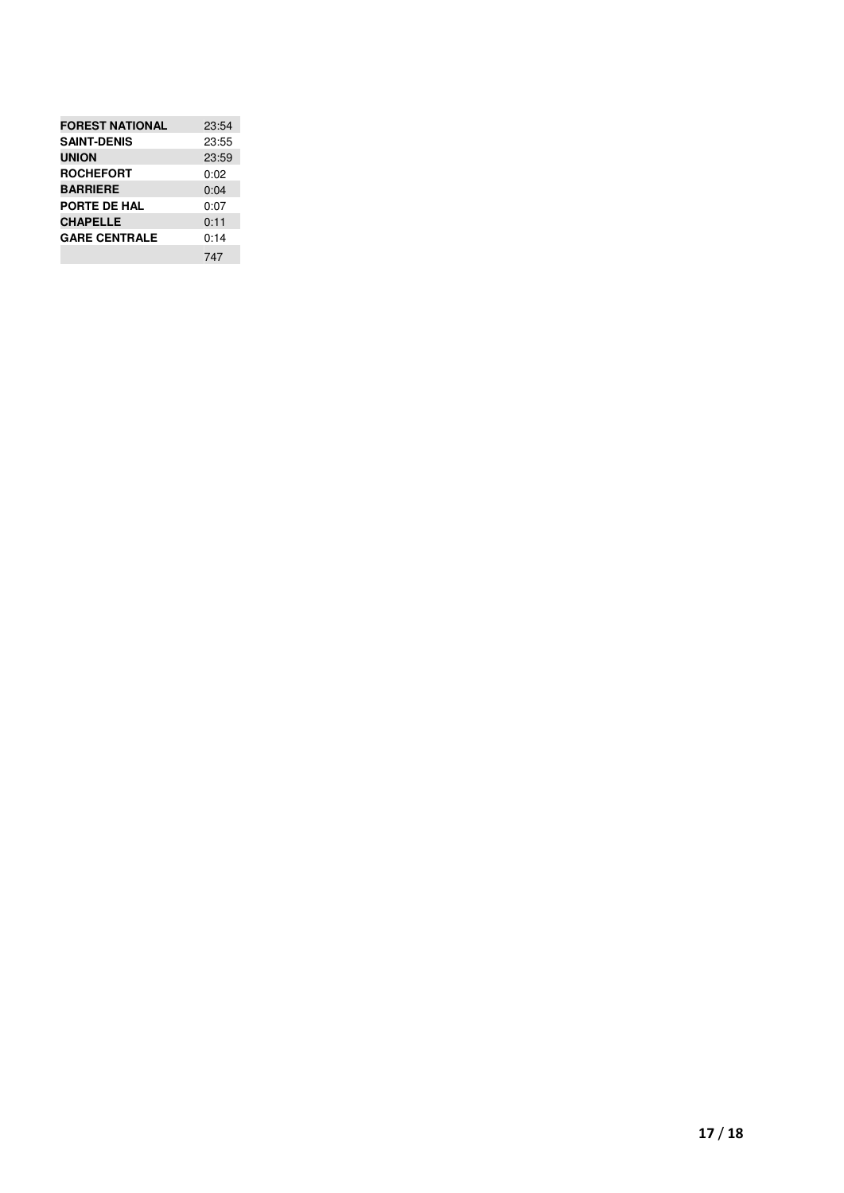| <b>FOREST NATIONAL</b> | 23:54 |
|------------------------|-------|
| <b>SAINT-DENIS</b>     | 23:55 |
| <b>UNION</b>           | 23:59 |
| <b>ROCHEFORT</b>       | 0:02  |
| <b>BARRIERE</b>        | 0:04  |
| PORTE DE HAL           | 0:07  |
| <b>CHAPELLE</b>        | 0:11  |
| <b>GARE CENTRALE</b>   | 0:14  |
|                        | 747   |